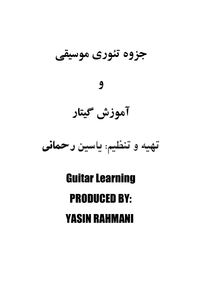جزوه تئوري موسيقي

# $\overline{9}$

# آموزش گیتار

# تهبه وتنظيئ ياسن رحمانى

# **Guitar Learning PRODUCED BY: YASIN RAHMANI**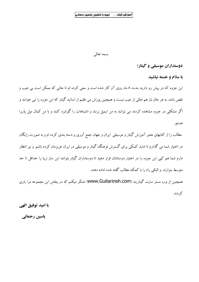بسمه تعالى

دوستداران موسیقی و گیتار؛

با سلام و خسته نباشید

این جزوه که در پیش رو دارید مدت ۸ ماه روی آن کار شده است و سعی کرده ام تا جائی که ممکن است بی عیب و .<br>نقص باشد. به هر حال باز هم خال<sub>ی</sub> از عیب نیست و همچنین پوزش می طلبم از اساتید گیتار که این جزوه را می خوانند و اگر مشکلی در جزوه مشاهده کردند می توانند به من ایمیل بزنند و اشتباهات را گوشزد کنند و با من کمال میل پذیرا هستم.

مطالب را از کتابهای معتبر آموزش گیتار و موسیقی ایران و جهان جمع آوری و دسته بندی کرده ام و به صورت رایگان در اختبار شما می گذارم تا شاید کمکی برای گسترش فرهنگ گیتار و موسیقی در ایران عزیزمان کرده باشم. و نیز انتظار دارم شما هم کیی این جزوه را در اختیار دوستانتان قرار دهید تا دوستداران گیتار بتوانند این ساز زیبا را حداقل تا حد متوسط بنوازند. و الباقی راه را با کمک مطالب گفته شده ادامه دهند.

همچنین از وب مستر سایت گیتارینه (WWW.Guitarineh.com) تشکر میکنم که در پخش این مجموعه مرا یاری كردند.

با امید توفیق الهی

ياسين رحماني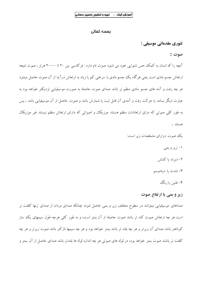#### يسمه تعالى

تئوري مقدماتي موسيقي ؛

#### صوت :

آنچه را که انسان به کمک حس شنوایی خود می شنود صوت نام دارد : فرکانسی بین ۲۰ تا ۲۰۰۰۰ هرتز ، صوت نتیجه ارتعاش جسم مادی است یعنی هرگاه یک جسم مادی با سرعتی کم یا زیاد به ارتعاش درآید از آن صوت حاصل میشود هر چه رفت و آمد های جسم مادی منظم تر باشد صدای صوت حاصله به صورت موسیقیایی نزدیکتر خواهد بود به عبارت ديگر بسامد يا حركت رفت و آمدى آن قابل ثبت يا شمارش باشد و صوت حاصل از آن موسيقيايي باشد ، پس به طور کلبی صوتی که درای ارتعاشات منظم هستند موزیکال و اصواتی که دارای ارتعاش منظم نیستند غیر موزیکال هستند . یک صوت درارای مشخصات زیر است:

۱– زیر و بمی

۲– دیر ند یا کشش

٣- شدت يا ديناميسم

۴- طنين يا رنگ

# زیر و بمی یا ارتفاع صوت

صداهای موسیقیایی میتوانند در سطوح مختلف زیر و بمی حاصل شوند چنانکه صدای مردان از صدای زنها کلفت تر است هر چه ارتعاش صوت کند تر باشد صوت حاصله از آن بمتر است، و به طور کلبی هرچه طول سیمهای یک ساز کوتاهتر باشد صدای آن زیرتر و هر چه بلند تر باشد بمتر خواهد بود و هر چه سیمها نازکتر باشد صوت زیرتر و هر چه كلفت تر باشند صوت بمتر خواهد بود، در لوله هاي صوتي هر چه اندازه لوله ها بلندتر باشد صداي حاصل از آن بمتر و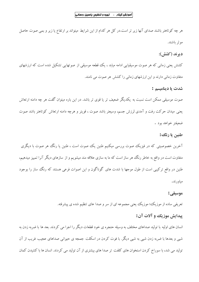هر چه کوتاهتر باشند صدای آنها زیر تر است.در کل هر کدام از این شرایط میتواند بر ارتفاع یا زیر و بمی صوت حاصل موثر باشند.

# ديرند (كشش):

کشش یعنی زمانی که هر صوت موسیقیایی ادامه میابد ، یک قطعه موسیقی از صوتهایی تشکیل شده است که ارزشهای متفاوت زمانی دارند و این ارزشهای زمانی را کشش هر صوت می نامند.

#### شدت یا دینامیسم :

صوت موسیقی ممکن است نسبت به یکدیگر ضعیف تر یا قوی تر باشد. در این باره میتوان گفت هر چه دامنه ارتعاش یعنی میدان حرکت رفت و آمدی لرزش جسم، وسیعتر باشد صوت ، قویتر و هرچه دامنه ارتعاش کوتاهتر باشد صوت ضعيفتر خواهد بود .

# طنين يا رنگ :

آخرین خصوصیتی که در فیزیک صوت بررسی میکنیم طنین یک صوت است ، طنین یا رنگ هر صوت با دیگری متفاوت است در واقع به خاطر رنگ هر ساز است که ما به سازی علاقه مند میشویم و از سازهای دیگر آنرا تمییز میدهیم، طنین در واقع ترکیبی است از طول موجها با شدت های گوناگون و این اصوات فرعی هستند که رنگ ساز را بوجود مياورند.

#### موسیقے :

تعریفی ساده از موزیک؛ موزیک یعنی مجموعه ای از سر و صدا های تنظیم شده ی پیشرفته.

# پیدایش موزیک و آلات آن:

انسان های اولیه با تولید صداهای مختلف به وسیله حنجره ی خود قطعات دیگر را اجرا می کردند. بعد ها با ضربه زدن به شیبی و بعدها با ضربه زدن شیبی به شیبی دیگر. با فوت کردن در اسکلت جمجه ی حیوانی صداهای عجیب غریب از آن تولید می شد، با سوراخ کردن استخوان های کلفت تر صدا های بیشتری از آن تولید می کردند. انسان ها با کشیدن کمان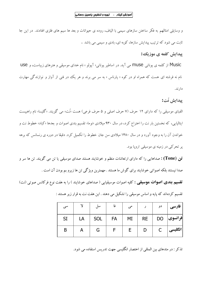و وسایلی امثالهم به فکر ساختن سازهای سیمی با الیاف، روده ی حیوانات و بعد ها سیم های فلزی افتادند. در این جا ثابت می شود که ترتیب پیدایش سازها، کوبه ای، بادی و سیمی می باشد .

# ييدايش كلمه ي موزيك:

Music از کلمه ی یونانی muse می آید. در اساطیر یونانی« آپولو » نام خدای موسیقی و هنرهای زیباست، و use نام نه فرشته ای هست که همراه او در کوه « پارناس » به سر می برند و هر یک ددر فنی از آواز و نوازندگی مهارت دار ند.

# ييدايش نُت:

الفبای موسیقی را که دارای ۱۲ حرف (۷ حرف اصلی و ۵ حرف فرعی) هست «نُت» می گویند. «گلیسا» نام راهبیست ایتالیایی، که نخستین بار نت را اختراع کرد، در سال ۹۳۰ میلادی «نوما» تقسیم بندی اصوات و بعدها «کباد» خطوط نت و خواندن آن را به وجود آورد و در سال ۱۴۸۰ میلادی سن جان خطوط را تکمیل کرد. دقیقا در دوره ی رنسانس که برهه یر تحرکے در زمینه ی موسیقی اروپا بود.

قن (Tone) : صداهایی را که دارای ارتعاشات منظم و خوشایند هستند صدای موسیقی یا تن می گویند. تن ها سر و صدا نيستند بلكه اصواتي خوشايند براي گوش ما هستند . مهمترين ويژگي تن ها زيرو بم بودن آن است .

ققسیم بندی اصوات موسیقی : کلیه اصوات موسیقیایی ( صداهای خوشایند ) را به هفت نوع فرکانس صوتی (نت)

|    |    | سل  | فا        | هی   |   | دو           | فارسى            |
|----|----|-----|-----------|------|---|--------------|------------------|
| SI | LA | SOL | <b>FA</b> | $MI$ |   |              | فرانسوی  RE   DO |
| B  |    | G   |           | E    | D | $\mathsf{C}$ | انگلیسی          |

تقسیم کردهاند که پایه و اساس موسیقی را تشکیل می دهند . این هفت نت به قرار زیر هستند :

تذکر : در متدهای بین المللی از اختصار انگلیسی جهت تدریس استفاده می شود.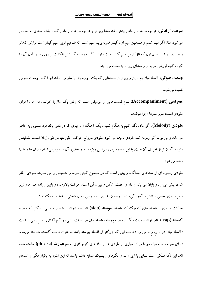**سوعت ارتعاش:** هر چه سرعت ارتعاش بیشتر باشد صدا زیر تر و هر چه سرعت ارتعاش کندتر باشد صدای بم حاصل میشود. مثلا اگر سیم ششم و همچنین سیم اول گیتار ضربه بزنید سیم ششم که ضخیم ترین سیم گیتار است لرزش کندتر و صدای بم تر از سیم اول که نازکترین سیم گیتار است دارد . اگر به وسیله گذاشتن انگشت بر روی سیم طول آن را کوتاه کنیم لرزشی سریع تر و صدای زیر تر به دست می آید.

**وسعت صوتی:** فاصله میان بم ترین و زیرترین صداهایی که یک آوازخوان یا ساز می تواند اجرا کند، وسعت صوتی نامیده میشود.

همواهی (Accompaniment): تمام قسمتهایی از موسیقی است که وقتی یک ساز یا خواننده در حال اجرای ملودی است، سایر سازها اجرا میکنند.

ه**لودی (Melody):** اگر ساده نگاه کنیم به هنگام شنیدن یک آهنگ آن چیزی که در ذهن یک فرد معمولی به خاطر می ماند و می تواند آنرا زمزمه کند ملودی نامیده می شود. ملودی درواقع حرکت افقی نتها در طول زمان است. تشخیص ملودی آسان تر از تعریف آن است، با این همه، ملودی سرشتی ویژه دارد و حضور آن در موسیقی تمام دوران ها و ملتها ديده مي شود.

ملودی زنجیره ای از صداهای جداگانه و پیاپی است که در مجموِع کلیتی درخور تشخیص را می سازند. ملودی آغاز شده، پیش می٫رود و پایان می پابد و دارای جهت، شکل و پیوستگی است. حرکت بالارونده و پایین رونده صداهای زیر و بم ملودي، حسي از تنش و آسودگي، انتظار رسيدن را دربر دارد و اين همان منحني يا خط ملوديک است. حرکت ملودی با فاصله های کوچک که فاصله **پیوسته (step**) نامیده میشوند یا با فاصله هایی بزرگتر که فاصله **گسسته (leap)** نام دارند صورت میگیرد. فاصله پیوسته، فاصله میان هر دو نت پیاپی در گام آشنای دو، ر ، می … است (فاصله میان دو تا ر، ر تا می و…) فاصله ایی که بزرگتر از فاصله پیوسته باشد به عنوان فاصله گسسته شناخته میشود (برای نمونه فاصله میان دو تا می). بسیاری از ملودی ها از تکه های کوچکتری به نام **عبارت (phrase)** ساخته شده

اند. این تکه ممکن است نتهایی با زیر و بم و الگوهای ریتمیک مشابه داشته باشندکه این تشابه به یکپارچگی و انسجام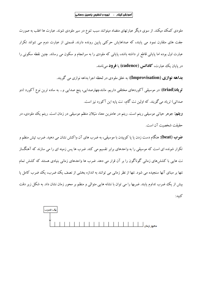ملودی کمک میکند. از سوی دیگر عبارتهای متضاد میتوانند سبب تنوع در سیر ملودی شوند. عبارت ها اغلب به صورت جفت های متقارن نمود می پابند، که صداهایش حرکتی پایین رونده دارند. قسمتی از عبارت دوم می تنواند تکرار عبارت اول بوده اما پایانی قاطع تر داشته باشد، پایانی که ملودی را به سرانجام و سکون می رساند. چنین نقطه سکونی را در پايان يک عبارت، **کادانس (cadence)** يا **فوود** مي نامند.

بداهه نوازي (Improvisation): به خلق ملودي در لحظه اجرا بداهه نوازي مي گويند.

**تویاد(triad):** در موسیقی آکوردهای مختلفی داریم. مانندچهارصدایی، پنج صدایی و… به ساده ترین نوع آکورد (دو صدائی) تریاد می گویند. که اولین نت گام، نت یایه این آکورد نیز است.

**ریتم:** جوهر حیاتبی موسیقبی ریتم است. ریتم در عامترین معنا، سَیَلان منظم موسیقبی در زمان است. ریتم یک ملودی، در حقيقت شخصيت آن است.

**ضوب (beat):** هنگام دست زدن یا پا کوبیدن با موسیقی، به ضرب های آن واکنش نشان می دهید. ضرب تپش منظم و تکرار شونده ای است که موسیقی را به واحدهای برابر تقسیم می کند. ضرب ها پس زمینه ای را می سازند که آهنگساز نت هایی با کشش های زمانی گوناگون را بر آن قرار می دهد. ضرب ها واحدهای زمانی بنیادی هستند که کشش تمام نتها بر مبنای آنها سنجیده می شود. نتها از نظر زمانی می توانند به اندازه بخشی از نصف یک ضرب، یک ضرب کامل یا بیش از یک ضرب تداوم یابند. ضربها را می توان با نشانه هایی متوالی و منظم بر محور زمان نشان داد. به شکل زیر دقت كنيد:

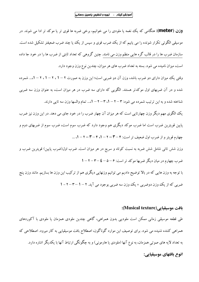**وزن (meter):** هنگامی که یک نغمه یا ملودی را می خوانیم، برخی ضربه ها قوی تر یا موکد تر ادا می شوند. در موسیقی الگوئی تکرار شونده را می یابیم که از یک ضرب قوی و سپس از یک یا چند ضرب ضعیفتر تشکیل شده است. سازمان ضرب ها را در قالب گره هایی منظم وزن می نامند. چنین گروهی که تعداد ثابتی از ضرب ها را در خود جا داده است، میزان نامیده می شود. بسته به تعداد ضرب های هر میزان، چندین نوع وزن وجود دارد.

وقتی یک میزان دارای دو ضرب باشد، وزن آن دو ضربی است؛ این وزن به صورت ۲ – ۱ ، ۲ – ۱ ، ۲ – ۱.... شمرده شده و در آن ضربهای اول موکدتر هستند. الگویی که دارای سه ضرب در هر میزان است، به عنوان وزن سه ضربی شناخته شده و به این ترتیب شمرده می شود: ۲ – ۲ – ۱، ۳ – ۲ – ۱،... تمام والسها وزن سه تابی دارند.

یک الگوی مهم دیگر وزن چهارتایی است که هر میزان آن چهار ضرب را در خود جای می دهد. در این وزن نیز ضرب پایین قویترین ضرب است اما ضرب موکد دیگری هم وجود دارد که ضرب سوم است، ضرب سوم از ضربهای دوم و چهارم قویتر و از ضرب اول ضعیف تر است: ۴ - ۳ - ۲ - ۱، ۴ - ۳ - ۱، ...

وزن شش تائی شامل شش ضربه به نسبت کوتاه و سریع در هر میزان است. ضرب اول(ضرب پایین) قویترین ضرب و ضرب چهارم در میان دیگر ضربها موکد تر است: ۶–۵–۵–۶–۲–۲ با توجه به وزن هایی که در بالا توضیح دادیم می توانیم وزنهایی دیگری هم از ترکیب این وزن ها بسازیم. مانند وزن پنج ضربي كه از يك وزن دوضربي + يك وزن سه ضربي بوجود مي آيد. ٢ – ١ – ٣ – ١ - ١

#### بافت موسيقيايي (Musical texture):

طی قطعه موسیقی زمانی ممکن است ملودیی بدون همراهی، گاهی چندین ملودی همزمان یا ملودی با آکوردهای همراهي كننده شنيده مي شود. براي توصيف اين موارد گوناگون، اصطلاح بافت موسيقيايي به كار ميرود. اصطلاحي كه به تعداد لایه های صوتی همزمان، به نوع آنها (ملودی یا هارمونی) و به چگونگی ارتباط آنها با یکدیگر اشاره دارد. انوع بافتهای موسیقیایی: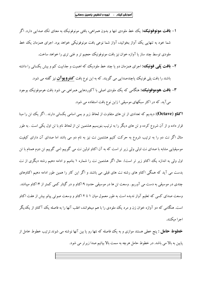- **۱– بافت مونوفونیک؛** یک خط ملودی تنها و بدون همراهی، بافتی مونوفونیک به معنای تک صدایی دارد. اگر شما خود به تنهایی یک آواز بخوانید، آواز شما نوعی بافت مونوفونیکی خواهد بود. اجرای همزمان یک خط ملودی توسط چند ساز یا آوازه خوان نیز بافت مونوفونیک حجیم تر و غنی تری را خواهد ساخت.
- ۲- **بافت یُلبی فونیک،:** اجرای همزمان دو یا چند خط ملودیک که اهمیت و جذابیت کم و بیش یکسانی را داشته

باشند را بافت پل<sub>ی</sub> فونیک یاچندصدایی می گویند. که به این نوع بافت **کنتروپوآن** نیز گفته می شود.

۳– **بافت هوموفونیک،** هنگامی که یک ملودی اصلی با آکوردهایی همراهی می شود بافت هوموفونیک بوجود می آید. که در اکثر سبکهای موسیقی ا زاین نوع بافت استفاده می شود.

**اکتاو (Octave):** دیدیم که تعدادی از تن های متفاوت از لحاظ زیر و بمی اسامی یکسانی دارند . اگر یک تن را مبنا قرار داده و از آن شروع کرده و تن های دیگر را به ترتیب بنویسیم هشتمین تن از لحاظ نام با تن اول یکی است . به طور مثال اگر نت دو را به ترتیب شروع به حرکت کنیم هشتمین نت نیز به نام دو می باشد اما صدای آن دارای کیفیت موسیقیایی مشابه با صدای نت اولی ولی زیر تر است که به آن اکتاو اولین نت می گوییم (می گوییم تن دوم همنام با تن اول ولی به اندازه یک اکتاو زیر تر است). حال اگر هشتمین نت را شماره ۱ بنامیم و ادامه دهیم رشته دیگری از نت بدست می آید که همگی اکتاو های رشته نت های قبلی می باشند و اگر این کار را همین طور ادامه دهیم اکتاوهای چندی در موسیقی به دست می آوریم . وسعت تن ها در موسیقی حدود ۱۹کتاو و در گیتار کمی کمتر از ۱۴کتاو میباشد. وسعت صدای کسی که تعلیم آواز ندیده است به طور معمول میان ۱ تا ۲ اکتاو و وسعت صوتی پیانو بیش از هفت اکتاو است. هنگامی که دو آوازه خوان زن و مرد یک ملودی را با هم میخوانند، اغلب آنها را به فاصله یک آکتاو از یکدیگر اجرا ميكنند.

**خطوط حامل :** پنج خطی هستند موازی و به یک فاصله که نتها رو یا بین آنها نوشته می شوند.ترتیب خطوط خامل از پایین به بالا می باشد. در خطوط حامل هرچه به سمت بالا بیائیم صدا زیرتر می شود.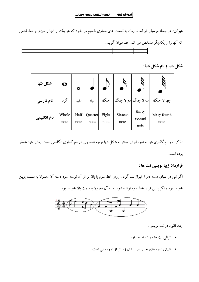$\sim 10^{-11}$ 

هیزان: هر جمله موسیقی از لحاظ زمان به قسمت های مساوی تقسیم می شود که هر یک از آنها را میزان و خط قائمی که آنها را از یکدیگر مشخص می کند خط میزان گویند.

شكل نتها و نام شكل نتها :

| شكل نتها    | O             |              |                 |               |                 |                          |                       |
|-------------|---------------|--------------|-----------------|---------------|-----------------|--------------------------|-----------------------|
| نام فارسی   | گر د          | سفيد         | سياه            | ڃنگ           |                 | سه لا چنگ  دو لا چنگ     | چها لا چنگ            |
| نام انگلیسی | Whole<br>note | Half<br>note | Quarter<br>note | Eight<br>note | Sixteen<br>note | thirty<br>second<br>note | `sixty fourth<br>note |

تذکر : در نام گذاری نتها به شیوه ایرانی بیشتر به شکل نتها توجه شده ولی در نام گذاری انگلیسی نسبت زمانی نتها مدنظر بوده است.

قرارداد زيبا نويسي نت ها :

اگر نتی در نتهای دسته دار ( غیراز نت گرد ) روی خط سوم یا بالا تر از آن نوشته شود دسته آن معمولا به سمت پایین

خواهد بود و اگر پایین تر از خط سوم نوشته شود دسته آن معمولا به سمت بالا خواهد بود.



چند قانون در نت نويسي :

- توالي نت ها هميشه ادامه دارد .
- نتهای دوره های بعدی صدایشان زیر تر از دوره قبلی است.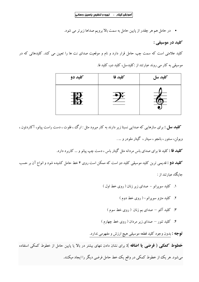• در حامل هم هر چقدر از پایین حامل به سمت بالا برویم صداها زیرتر می شود.

كليد در موسيقي :

کلید علامتی است که سمت چپ حامل قرار دارد و نام و موقعیت صدای نت ها را تعیین می کند. کلیدهائی که در موسیقی به کار می روند عبارتند از :کلیدسل، کلید دو، کلید فا.

| کلید دو | كليد فا | كليد سل |
|---------|---------|---------|
|         |         |         |

**کلید سل :** برای سازهایی که صدایی نسبتا زیر دارند به کار میرود مثل : ارگ ،، فلوت ، دست راست پیانو، آکاردئون ، ویولن، سنتور ، بانجو ، سیتار ، گیتار ملودر و … .

**کلید فا :** کلید فا برای صدای باس مردانه مثل گیتار باس ، دست چپ پیانو و … کاربرد دارد.

**کلید دو :** قدیمی ترین کلید موسیقی کلید دو است که ممکن است روی ۴ خط حامل کشیده شود و انواع آن بر حسب جایگاه عبارتند از :

- ۱. کلید سویرانو صدای زیر زنان ( روی خط اول )
	- ۲. کلید متزو سویرانو-( روی خط دوم)
	- ۳. کلید آلتو صدای بم زنان ( روی خط سوم )
- ۴. کلید تنور صدای زیر مردان ( روی خط چهارم )

**توجه :** بدون وجود کلید قطعه موسیقی هیچ ارزش و مفهومی ندارد.

**خطوط کمکی ( فرضی یا اضافه ):** برای نشان دادن نتهای بیشتر در بالا یا پایین حامل از خطوط کمکی استفاده میشود. هر یک از خطوط کمکی در واقع یک خط حامل فرضی دیگر را ایجاد میکنند.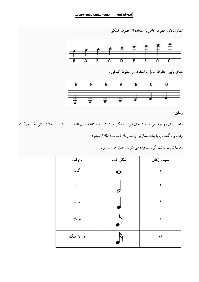$\bar{1}$ 



واحد زمان در موسیقی ۱ است.حال این ۱ ممکن است ۱ ثانیه ، ۲ثانیه ، نیم ثانیه یا … باشد. در حالت کلی یک حرکت رفت و برگشت پا با یک شمارش واحد زمان (ضرب) اطلاق میشود.

| نام نت    | شكل نت | نسبت زمان |
|-----------|--------|-----------|
| گرد       | O      |           |
| سفيد      |        | ٢         |
| سياه      |        | ۴         |
| چنگئ      |        | ٨         |
| دو لا چنگ |        | ۱۶        |

زمانها نسبت به نت گرد سنجیده می شوند ، طبق جدول زیر :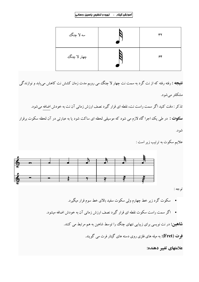#### آموزش گیتار ـ تهیه و تنظیم: یاسین رحمانی|

| سه لا چنگ   | ٣٢ |
|-------------|----|
| چهار لا چنگ | ۶۴ |

**نتیجه :** رفته رفته که از نت گرد به سمت نت چهار لا چنگ می رویم مدت زمان کشش نت کاهش میtبابد و نوازندگی مشکلتر میشود. تذکر : دقت کنید اگر سمت راست نت، نقطه ای قرار گیرد نصف ارزش زمانی آن نت به خودش اضافه میشود. **سکوت :** در طی یک اجرا گاه لازم می شود که موسیقی لحظه ای ساکت شود یا به عبارتی در آن لحظه سکوت برقرار شو د.

علايم سكوت به ترتيب زير است :



توجه :

سکوت گرد زیر خط چهارم ولی سکوت سفید بالای خط سوم قرار میگیرد.

• اگر سمت راست سکوت نقطه ای قرار گیرد نصف ارزش زمانی آن به خودش اضافه میشود.

**شاهین:** در نت نویسی برای زیبایی نتهای چنگ را توسط شاهین به هم مرتبط می کنند.

فِوت (Fret): به میله های فلزی روی دسته های گیتار فرت می گویند.

علامتهای تغییر دهنده: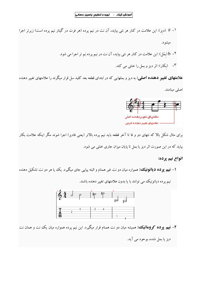**علامتهای تغییر دهنده اصلی:** به دیز و بملهایی که در ابتدای قطعه بعد کلید سل قرار میگرند را علامتهای تغییر دهنده اصلبي مينامند.



برای مثال شکل بالا که نتهای دو و فا تا آخر قطعه باید نیم پرده بالاتر (یعنی فادیز) اجرا شوند مگر اینکه علامت بکار

بیاید که در این صورت اثر دیز یا بمل تا پایان میزان جاری خنثی می شود.

#### انواع نيم پرده:

**۱– نبیم پوده دیاتونیکت:** همواره میان دو نت غیر همنام و البته پیاپی جای میگیرد. یک یا هر دو نت تشکیل دهنده



نیم پرده دیاتونیک می توانند با یا بدون علامتهای تغییر دهنده باشند.

۲– **نیم پوده کووهاتیک:** همیشه میان دو نت همنام قرار میگیرد. این نیم پرده همواره میان یک نت و همان نت

ديز يا بمل شده، بو حود مي آيد.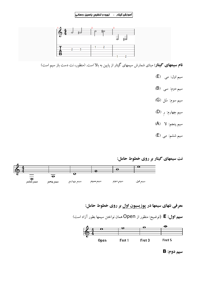#### آموزش گیتار ــ تهیه و تنظیم: یاسین رحمانی



**نام سیمهای گیتار:** مبنای شمارش سیمهای گیتار از پایین به بالا است. (منظور، نت دست باز سیم است)

- سيم اول: مي (E)
- سیم دوم: سی (B)
- سيم سوم: سُل (G)
- سيم چهارم: <sub>رِ</sub> (D)
- سيم پنجم: لا (A)
- سیم ششم: می (E)

# نت سیمهای گیتار بر روی خطوط حامل:



معرفی نتهای سیمها در پوزیسیون اول بر روی خطوط حامل:

**سیم اول: E** (توضیح: منظور از Open همان نواختن سیمها بطور آزاد است)



سيم دوم: B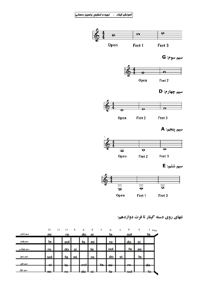$\hat{\boldsymbol{\beta}}$ 



سيم سوم: G











Fret 3



سيم ششم: E



نتهای روی دسته گیتار تا فرت دوازدهم:

|          | ۱۲     | ۱۱ | ١٠  | ٩  | Λ     | ٧  | У       | Ò       | ٤  | ٣   | ۲  | پرده    |
|----------|--------|----|-----|----|-------|----|---------|---------|----|-----|----|---------|
| مبهم ششم | mi     |    | re  |    | do    | si |         | la      |    | sol |    | fa      |
| صلم للجم | la     |    | sol |    | fa    | mı |         | re      |    | do  | SI |         |
| سدرجهارم | re     |    | do  | si |       | la |         | sol     |    | fa  | mı |         |
| صلم صلام | sol    |    | fa  |    |       | re |         | do      | SI |     | la |         |
| صلم ذیء  | ci-    |    | łе  |    | -sol- |    | fa.<br> | m       |    | m   |    | 40<br>w |
| سهم اول  | ٠<br>₩ |    | ғe  |    | de    | ≂  |         | ь<br>πū |    |     |    | F       |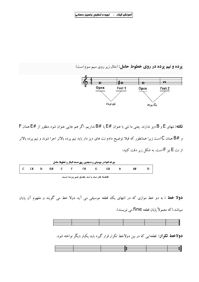پرده و نیم پرده در روی خطوط حامل: (مثال زیر روی سیم سوم است)



نداریم. اگر طور اقتصای E و B دیز ندارند. یعنی ما نتی با عنوان #E یا #B نداریم. اگر هم جایی عنوان شود منظور از #E همان F و #B همان C است زیرا همانطور که قبلا توضیح دادم نت های دیز دار باید نیم پرده بالاتر اجرا شوند و نیم پرده بالاتر از نت E نیز F است. به شکل زیر دقت کنید:

| چرخه نتها در موسیقی و همچنین روی دسته کیتار و خطوط حامل |     |  |  |  |        |    |     |    |  |    |  |  |
|---------------------------------------------------------|-----|--|--|--|--------|----|-----|----|--|----|--|--|
| ΙC                                                      | C#D |  |  |  | D# E F | F# | - G | G# |  | A# |  |  |

فاصله هر نت با نت بعدی نیم پرده است

**دولا خط :** به دو خط موازی که در انتهای یک قطعه موسیقی می آید دولا خط می گویند و مفهوم آن پایان مبياشد.(كه معمولاً يابان قطعه fine مي نويسند).



**دولاخط تکرار:** قطعهایی که در بین دولاخط تکرار قرار گیرد باید یکبار دیگر نواخته شود.

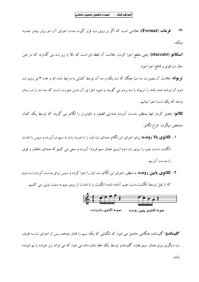$\mathcal{A}^{\text{max}}$ 

فوهات (Fermat): علامتی است که اگر بر روی نت قرار گیرد، مدت اجرای آنرا دو برابر بیشتر تمدید  $\Omega$ مىكند.

**استکاتو (staccato):** یعنی مقطع اجرا کردن. علامت آن نقطه ای است که بالا یا زیر نت می گذارند که در عین حال نت قوى و قاطع اجرا شود.

**تو یوله:** علامت آن بصورت سه نت چنگ که نت یک و سه آن توسط کمانی به مرتبط شده اند و عدد ۳ نیز روی نت دوم آن نوشته شده باشد را تریوله یا سه بردو می گویند و شیوه اجرا ی آن بدین صورت است که سه نت را در زمان واحد که یک است اجرا نمائیم.

**لِگاتو:** متصل کردن نتها بمنظور بدست آوردن صدایی لطیف و دلپذیرتر را لگاتو می گویند که توسط یک کمان مشخص میگردد. انواع لگاتو:

- **۱- لگاتوی بالا رونده:** برای اجرای این لگاتو صدای نت اول را با ضربه زدن به سیم درآورده و سپس با شدت انگشت دست چپ را روی نت دوم (روی همان سیم فرود) آورده و سعی می کنیم که صدای شفاف و قوی را بدست آوريم.
- ۲- ل**گاتوی پایین رونده:** به منظور اجرای این لگاتو نت اول را اجرا کرده و سپس برای بدست آوردن نت دوم که از قبل توسط انگشت دست چپ آماده شده، انگشت را با شدت از روی سیم به سمت پایین می کشیم.



**گلیساندو:** گلیساندو هنگامی حاصل می شود که انگشتی که یک سیم را فشار میدهد، پس از اجرای نت به طرف نت دیگری روی همان سیم بلغز د. گلیساندو توسط یک خط نشان داده می شود که می تواند زیر شونده یا بم شونده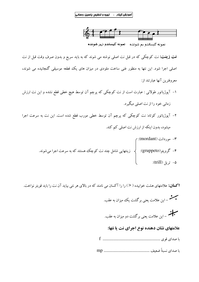

نمونه كليساندو بم شونده - نمونه كليساندو زير شونده

**نت زینت:** نت کوچکی که در قبل نت اصلی نوشته می شوند که به باید سریع و بدون صرف وقت قبل از نت اصلی اجرا شود. این نتها به منظور غنی ساخت ملودی در میزان های یک قطعه موسیقی گنجانیده می شوند، معروفترين آنها عبارتند از:

- ۱– آپوژیاتور طولانی : عبارت است از نت کوچکی که پرچم آن توسط هیچ خطی قطع نشده و این نت ارزش زمانی خود را از نت اصلی میگیرد.
- ۲– آپوژیاتور کوتاه: نت کوچکی که پرچم آن توسط خطی مورب قطع شده است. این نت به سرعت اجرا میشود، بدون اینکه از ارزش نت اصلی کم کند.
	- ۳- موردانت (mordant): زینتهایی شامل چند نت کوچک هستند که به سرعت اجرا میشوند. ۴- گروپتو(gruppeto): { ۵- توپل (trill):

**اکسان:** علامتهای هشت خوابیده ( <) را را آکسان می نامند که در بالای هر نتی بیاید آن نت را باید قویتر نواخت.

سیار<br>سیاست – این علامت یعنی برگشت دو میزان به عقب.

#### علامتهای نشان دهنده نوع اجرای نت یا نتها: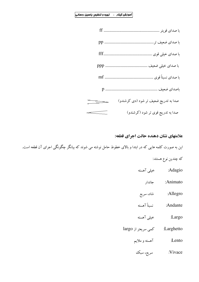$\hat{\boldsymbol{\beta}}$ 

| با صدای نسبتاً قوی                         |
|--------------------------------------------|
|                                            |
| صدا به تدریج ضعیف تر شود (دی کرشندو)<br>▅▅ |
| صدا به تدریج قوی تر شود (کرشندو)           |

علامتهای نشان دهنده حالت اجرای قطعه:

این به صورت کلمه هایی که در ابتدا و بالای خطوط حامل نوشته می شوند که بیانگر چگونگی اجرای آن قطعه است.

# كه چندين نوع هستند:

- Adagio: خیلی آهسته
	- Animato: جاندار
- Allegro: شاد، سریع
- 
- خیلی آهسته :Largo
- largo نامی سریعتر از Larghetto
	- آهسته و ملايم :Lento
		- سريع، سبك :Vivace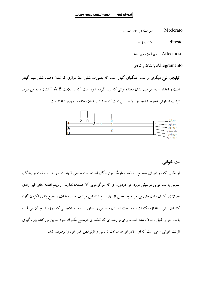:Moderato سرعت در حد اعتدال

> :Presto شتاب زده

Affectuoso: مهرآمیز، مهربانانه

Allegramento: با نشاط و شادی

**تبلیچو:** نوع دیگری از ثبت آهنگهای گیتار است که بصورت شش خط موازی که نشان دهنده شش سیم گیتار است و اعداد روی هر سیم نشان دهنده فرتبی که باید گرفته شود است. که با علامت T A B نشان داده می شود. ترتیب شمارش خطوط تبلیچر از بالا به پایین است که به ترتیب نشان دهنده سیمهای ۱ تا ۶ است.



#### نت خواني

از نکاتی که در اجرای صحیحتر قطعات یاریگر نوازندگان است، نت خوانی آنهاست. در اغلب اوقات نوازندگان تمایلی به نتخوانی موسیقی مورداجرا دردوره ای که سرگرمترین آن هستند، ندارند. از ریتم افتادن های غیر ارادی جملات، اکسان دادن های بی مورد به بعضی ازنتها، عدم شناسایی موتیف های مختلف و جمع بندی نکردن آنها، کشیدن بیش از اندازه یک نت، به سرعت نرسیدن موسیقی و بسیاری از موارد اینچنینی که درزیرشرح آن می آید، با نت خوانی قابل برطرف شدن است. برای نوازنده ای که قطعه ای درسطح تکنیک خود تمرین می کند، بهره گیری از نت خوانی راهی است که اورا قادرخواهد ساخت تا بسیاری ازنواقص کار خود را برطرف کند.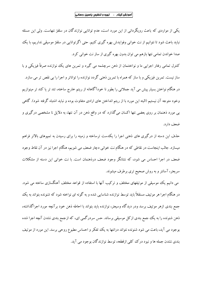یکمی از مواردی که باعث رویگردانی از این مورد است، عدم توانایی نوازندگان در سلفژ نتهاست. ولی این مسئله نبايد باعث شود تا نتوانيم از نت خواني وفوايدش بهره گيري كنيم. حتى اگر توانايي در سلفژ موسيقي نداريم، با يك صدا خواندن تمامی نتها بازهم می توان بدون بهره گیری از ساز نت خوانی کرد.

کنترل تمامی رفتار اجرایی ما و نواختنمان از ذهن سرچشمه می گیرد و تمرین های یک نوازنده صرفاً فیزیکی و با ساز نیست. تمرین فیزیکی و با ساز که همراه با تمرین ذهنی گردد نوازنده را تواناتر و اجرا را بی نقص تر می سازد. در هنگام نواختن بسیار پیش می آید جملاتی را بطور نا خودآگاهانه از ریتم خارج ساخته، تند تر یا کند تر مینوازیم وخود متوجه آن نیستیم (البته این مورد با از ریتم انداختن های ارادی متفاوت بوده و نباید اشتباه گرفته شود). گاهی بی مورد ذهنمان بر روی بعضی نتها اکسان میگذارد که در واقع ذهن در آن نتها، به دلایل نا مشخصی درگیری و ضعف دار د.

حذف این دسته از درگیری های ذهنی اجرا را یکدست ترساخته و زمینه را برای رسیدن به تمپوهای بالاتر فراهم میسازد. جالب اینجاست در نقاطی که در هنگام نت خوانی دچار ضعف می شویم، هنگام اجرا نیز در آن نقاط وجود ضعف در اجرا احساس می شود، که نشانگر وجود ضعف درذهنمان است. با نت خوانی این دسته از مشکلات سریعتر، آسانتر و به روش صحیح تری برطرف میشوند.

می دانیم یک موسیقی از موتیفهای مختلف و ترکیب آنها با استفاده از قواعد مختلف آهنگسازی ساخته می شود. در هنگام اجرا هر موتیف مستقلاً باید توسط نوازنده شناسایی شده و به گونه ای نواخته شود که شنونده بتواند به یک جمع بندی ازهر موتیف برسد ودر دیدگاه وسیعتر، نوازنده باید بتواند با احاطه ذهن خود برآنچه مورد اجراگذاشته، ذهن شنونده را به یک جمع بندی ازکل موسیقی برساند. حس سردرگمی ای، که ازجمع بندی نشدن آنچه اجرا شده بوجود می آید، باعث می شود شنونده نتواند درانتها به یک تفکر و احساس مطبوع روحی برسد. این مورد از موتیف بندی نشدن جمله ها و نبود درک کلی ازقطعه، توسط نوازندگان بوجود می آید.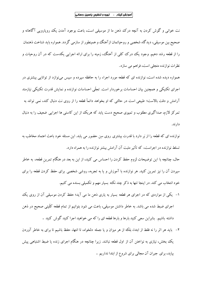نت خوانی و گوش کردن به آنچه درک ذهن ما از موسیقی است، باعث بوجود آمدن یک رویارویی آگاهانه و صحیح بین موسیقی، دیدگاه شخصی و روحیاتمان ازآهنگ و همینطور از سازمی گردد. همواره باید شناخت ذهنمان را از قطعه رشد دهیم. وجود یک درک کلی از آهنگ، زمینه را برای ارائه اجرایی یکدست که در آن روحیات و نظرات نوازنده متجلی است، فراهم می سازد.

همواره دیده شده است، نوازنده ای که قطعه مورد اجراء را به حافظه سپرده و سپس می $نوازد از توانایی بیشتری در$ اجرای تکنیکی و همچنین بیان احساسات برخوردار است. تجلّی احساسات نوازنده و نمایش قدرت تکنیکی نیازمند آرامش و دقت بالاست؛ طبیعی است در حالتی که او بخواهد دائماً قطعه را از روی نت دنبال کند، نمی تواند به تمرکز لازم، صداگیری مطلوب و تمپوی صحیح دست یابد که هریک از این کاستی ها اجرایی ضعیف را به دنبال دار ند.

نوازنده ای که قطعه را از بَر دارد با قدرت بیشتری روی سِن حضور می یابد. این مسئله خود باعث اعتماد مخاطب به تسلط نوازنده در اجراست، که تأثیر مثبت آن آرامش بیشتر نوازنده را به همراه دارد.

حال، چنانچه با این توضیحات لزوم حفظ کردن را احساس می کنید، از این به بعد در هنگام تمرین قطعه، به خاطر سیردن آن را نیز تمرین کنید. هر نوازنده با آموزش و یا به تجربه، روشی شخصی برای حفظ کردن قطعه را برای خود انتخاب می کند. در اینجا تنها به ذکر چند نکته بسیار مهم و تکمیلی بسنده می کنیم.

- ۱– یکی از مواردی که در اجرای هر قطعه بسیار به یاری ذهن ما می آید؛ حفظ کردن موسیقی آن از روی یک اجرای ضبط شده می باشد. به خاطر داشتن موسیقی، باعث می شود بتوانیم از تمام قطعه کلّیتی صحیح در ذهن داشته باشیم. بنابراین سعی کنید بارها و بارها قطعه ای را که می خواهید اجرا کنید گوش کنید .
- ٢- بايد هر اثر را نه فقط از ابتدا، بلكه از هر ميزان و يا جمله دلخواه، تا انتها، حفظ باشيم تا براي به خاطر آوردن یک بخش، نیازی به نواختن آن از اول قطعه نباشد. زیرا چنانچه در هنگام اجرای زنده یا ضبط اشتباهی پیش بیاید، برای جبران آن مجالی برای شروع از ابتدا نداریم .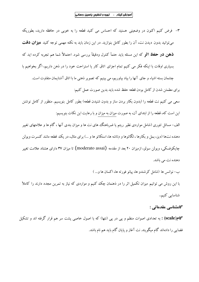٣- فرض كنيم اكنون در وضعيتي هستيد كه احساس مي كنيد قطعه را به خوبي در حافظه داريد، بطوريكه می توانید بدون دیدن نت، آن را بطور کامل بنوازید. در این زمان باید به نکته مهمی توجه کنید **میزان دقت ذهن در حفظ اثو** که این مسئله باید حتمأ کنترل ودقیقأ بررسی شود. احتمالأ شما هم تجربه کرده اید که بسیاری اوقات با اینکه فکر می کنیم تمام اجزای اتاق کار یا استراحت خود را در ذهن داریم، اگر بخواهیم با چشمان بسته اشیاء و جای آنها را بیاد بیاوریم، می بینیم که تصویر ذهنی ما با اتاق آشنایمان متفاوت است. برای مطمئن شدن از کامل بودن قطعه حفظ شده باید بدین صورت عمل کنیم:

سعی می کنیم نت قطعه را (بدون بکار بردن ساز و بدون شنیدن قطعه) بطور کامل بنویسیم. منظور از کامل نوشتن این است که، قطعه را از ابتدای آن، به صورت میزان به میزان و با رعایت این نکات بنویسیم:

الف– مسائل تئوری (شامل مواردی نظیر ریتم یا ضرباهنگ های نت ها و میزان بندی آنها ، گام ها و علامتهای تغییر دهنده نتها (دیز، بمل و بکارها ، لگاتوها و دتاشه ها، استکاتو ها و …) برای مثال، در یک قطعه مانند کنسرت ویولن جایکوفسکی، و بولن سولو، ازمیزان ۲۰ بعد از مقدمه (moderato assai) تا میزان ۳۷ دارای هشتاد علامت تغییر دهنده نت می باشد.

ب– نوانس ها (شامل کرشندو ها، پیانو فورته ها، اکسان ها و... ) با این روش می توانیم میزان تکمیل اثر را در ذهنمان چک کنیم و مواردی که نیاز به تمرین مجدد دارند را کاملأ شناسایی کنیم.

#### گامشناسے مقدماتے :

گام(scale) : به تعدادی اصوات منظم و پی در پی (نتها) که با اصول خاصی پشت سر هم قرار گرفته اند و تشکیل فضایی را دادهاند گام میگویند. نت آغاز و پایان گام باید هم نام باشد.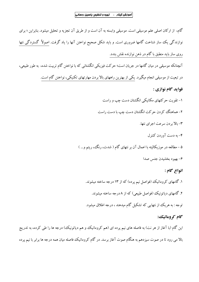گام، از ارکان اصلی علم موسیقی است. موسیقی وابسته به آن است و از طریق آن تجزیه و تحلیل میشود. بنابراین ؛ برای نوازندگی یک ساز شناخت گامها ضروری است. و باید شکل صحیح نواختن آنها را یاد گرفت. اصولاً گستردگی نتها روی ساز باید منطبق با گام در ذهن نوازنده نقش بندد. آنچنانکه موسیقی در میان گامها در جریان است؛ حرکت فیزیکی انگشتانی که با نواختن گام تربیت شده، به طور طبیعی، در تبعیت از موسیقی انجام میگیرد. یکی از بهترین راههای بالا بردن مهارتهای تکنیکی، نواختن گام است. فوايد گام نوازي : ۱- تقویت حرکتهای مکانیکی انگشتان دست چپ و راست ۲- هماهنگ کردن حرکت انگشتان دست چپ با دست راست ٣- بالا بر دن سرعت اجراي نتها. ۴– به دست آوردن کنترل ۵ – مطالعه در موزیکالیته با اعمال آن بر نتهای گام ( شدت، رنگ، ریتم و… ) ۶- بهبود بخشيدن جنس صدا انواع گام : ۱. گامهای کروماتیک (فواصل نیم پرده) که از ۱۳ درجه ساخته میشوند. ۲. گامهای دیاتونیک (فواصل طبیعی) که از ۸درجه ساخته میشوند.

توجه : به هریک از نتهایی که تشکیل گام میدهند ، درجه اطلاق میشود.

#### گام کروماتیک؛

این گام (با آغاز از هر نت) به فاصله های نیم پرده ای (هم کروماتیک و هم دیاتونیک) درجه ها را طی کرده، به تدریج بالا می رود تا در صوت سیزدهم به هنگام صوت آغاز برسد. در گام کروماتیک فاصله میان همه درجه ها برابر با نیم پرده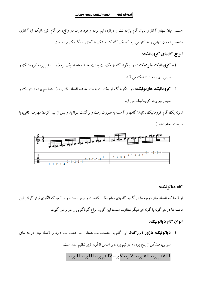$\mathcal{L}^{\text{max}}$ 

هستند. میان نتهای آغاز و پایان گام یازده نت و دوازده نیم پرده وجود دارد. در واقع، هر گام کروماتیک (با آغازی مشخص) همان نتهایی را به کار می برد که یک گام کروماتیک با آغازی دیگر بکار برده است.

انواع گامهای کروماتیک:

- **۱– کووهاتیک ملودیک :** در اینگونه گام از یک نت به نت بعد (به فاصله یک پرده)، ابتدا نیم پرده کروماتیک و سپس نیم پرده دیاتونیک می آید.
- **۲ کروهاتیک هارمونیک؛ د**ر اینگونه گام از یک نت به نت بعد (به فاصله یک پرده)، ابتدا نیم پرده دیاتونیک و سیس نیم پرده کروماتیک می آید.

نمونه یک گام کروماتیک : (ابتدا گامها را آهسته به صورت رفت و برگشت بنوازید و پس از پیدا کردن مهارت کافی، با سرعت انجام دهيد.)



#### گام دياتونيک:

از آنجا که فاصله میان درجه ها در گروه گامهای دیاتونیک یکدست و برابر نیست، و از آنجا که الگوی قرار گرفتن این فاصله ها در هر گونه با گونه ای دیگر متفاوت است، این گروه انواع گوناگونی را در بر می گیرد.

# انوان گام دياتونيک:

**۱- دیاتونیک ماژور (بزرگ):** این گام با احتساب نت همنام آخر هشت نت دارد و فاصله میان درجه های متوالی، متشکل از پنج پرده و دو نیم پرده، بر اساس الگوی زیر تنظیم شده است. .<br>VIII نیم پرده VII پرده VI پرده V پرده IV نیم پرده III پرده II پرده I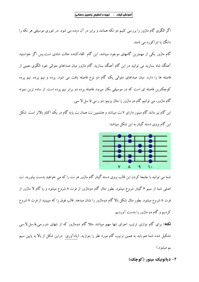اگر الگوی گام ماژور را بررسی کنیم دو تکه همانند و برابر در آن دیده می شود. در تئوری موسیقی هر تکه را دانگ یا تتراکورد می نامند.

گام ماژور یکی از مهمترین گامهای موجود میباشد. این گام القاءکننده حالت شادی است.پس اگر خواستید آهنگ شاد بسازید می توانید در این گام آهنگ بسازید. گام ماژور میان صداهای متوالی خود الگوی معینی از فاصله ها را دارد. میان صداهای متوال<sub>ی</sub> یک گام دو نوع فاصله یافت می شود. پرده و نیم پرده. نیم پرده کوچکترین فاصله ای است که در موسیقی بکار میرود. فاصله پرده دو برابر نیم پرده است. از ساده ترین نمونه گام ماژور، مي توانيم گام دو ماژور را مثال بزنيم: دو ر مي فا سل لا سي.

این گام نیز مانند گام مینور دارای ۷ نت میباشد و هشتمین نت همان نت پایه گام در یک اکتاو بالاتر است. شکل این گام بروی دسته گیتار به این شکل میباشد:

شما می توانید با جابجا کردن این قالب بروی دسته گیتار گام ماژور هر نت را که می خواهید بدست بیاورید. نت اصلی شما از سیم ۶ گیتار شروع میشود. بطور مثال گام دوماژور از فرت ۸ شروع میشود و یا گام لا ماژور از فرت ۸ شروع میشود. بطور مثال شکل بالا گام دوماژور را نشان میدهد. قالب فوق را که میبینید از فرت ۸ شروع کردیم و گام دو ماژور را بدست آوردیم.

**نکته:** برای گام نوازی ترتیب اجرای نتها مهم میباشد مثلا گام دوماژور که از نتهای دو.ر.می.فا.سل.لا.سی تشکیل شده شما هم باید به همین ترتیب گام مورد نظر را بنوازید. (یادآوری: دراین شکل از بالا به پایین سیم بم میشود.)

۲- دياتونيک مينور (کوچک)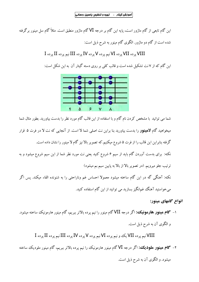این گام تابعی از گام ماژور است، پایه این گام بر درجه VI گام ماژور منطبق است. مثلاً گام سل مینور برگرفته شده است از گام دو ماژور. الگوی گام مینور به شرح ذیل است:

# VIII پرده VII پرده VI نيم پرده V پرده IV پرده III نيم پرده II پرده I

این گام که از ۷نت تشکیل شده است و قالب کلی بر روی دسته گیتار آن به این شکل است:



شما می توانید با مشخص کردن نام گام و با استفاده از این قالب گام مورد نظر را بدست بیاورید. بطور مثال شما میخواهید گام لاه**ینور** را بدست بیاورید بنا براین نت اصلی شما لا است. از آنجایی که نت لا در فرت ۵ قرار گرفته بنابراین این قالب را از فرت ۵ شروع میکنیم.که تصویر بالا نیز گام لا مینور را نشان داده است. نکته: برای بدست آوردن گام باید از سیم ۶ شروع کنید یعنی نت مورد نظر شما از این سیم شروع میشود و به ترتیب جلو میرویم. (در تصویر بالا از بالا به پایین سیم بم میشود) نکته: آهنگی گه در این گام ساخته میشود معمولا احساس غم وناراحتی را به شنونده القاء میکند. پس اگر میخواستید آهنگ غمانگیز بسازید می توانید از این گام استفاده کنید.

انواع گامهای مینور:

۱– گ**ام هینور هارمونیک**؛ اگر درجه VII گام مینور را نیم پرده بالاتر ببریم، گام مینور هارمونیک ساخته میشود. و الگوی آن به شرح ذیل است.

VIII نیم پرده VII یک و نیم پرده VI نیم پرده V پرده VI پرده III نیم پرده II پرده I

۲– گ**ام مینور ملودیک**؛ اگر درجه VI گام مینور هارمونیک را نیم پرده بالاتر ببریم، گام مینور ملودیک ساخته میشود. و الگوی آن به شرح ذیل است.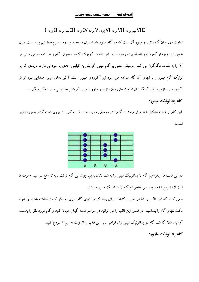# VIII نیم پرده VII پرده VI پرده V پرده IV پرده III نیم پرده II پرده I

تفاوت مهم میان گام ماژور و مینور آن است که در گام مینور فاصله میان درجه های دوم و سوم فقط نیم پرده است. میان همین دو درجه از گام ماژور فاصله پرده وجود دارد. این تفاوت کوچک کیفیت صوتی گام و حالت موسیقی مبتنی بر آن را به شدت دگرگون می کند. موسیقی مبتنی بر گام مینور گرایش به کیفیتی جدی یا سودائی دارد. تریادی که بر تونیک گام مینور و با نتهای آن گام ساخته می شود نیز آکوردی مینور است. آکوردهای مینور صدایی تیره تر از آکوردهای ماژور دارند. آهنگسازان تفاوت های میان ماژور و مینور را برای آفرینش حالتهایی متضاد بکار میگیرند.

#### گام پنتاتونيک مينور:

این گام از ۵ نت تشکیل شده و از مهمترین گامها در موسیقی مدرن است. قالب کلبی آن بروی دسته گیتار بصورت زیر است:



در این قالب ما میخواهیم گام لا پنتاتونیک مینور را به شما نشان بدیم. چون این گام از نت پایه لا واقع در سیم ۶ فرت ۵ (نت لا) شروع شده و به همین خاطر نام گام لا پنتاتونیک مینور میباشد.

سعی کنید که این قالب را آنقدر تمرین کنید تا برای پیدا کردن نتهای گام نیازی به فکر کردن نداشته باشید و بدون مکث نتهای گام را بشناسید. در ضمن این قالب را می توانید در سراسر دسته گیتار جابجا کنید و گام مورد نظر را بدست آورید. مثلا اگه شما گام دو پنتاتونیک مینور را بخواهید باید این قالب را از فرت ۸ سیم ۶ شروع کنید.

گام پنتاتونيک ماژور: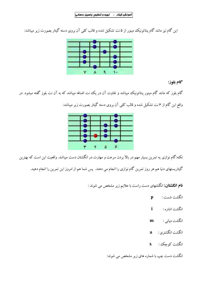$\sim 10^{-10}$ 

این گام نیز مانند گام پنتاتونیک مینور از ۵نت تشکیل شده و قالب کلی آن بروی دسته گیتار بصورت زیر میباشد:



#### گام بلوز:

گام بلوز که مانند گام مینور پنتاتونیک میباشد و تفاوت آن در یک نت اضافه میباشد که به آن نت بلوز گفته میشود. در واقع این گام از ۶ نت تشکیل شده و قالب کلبی آن بروی دسته گیتار بصورت زیر میباشد:



نکته:گام نوازی یه تمرین بسیار مهم در بالا بردن سرعت و مهارت در انگشتان دست میباشد. واقعیت این است که بهترین گیتاریستهای دنیا هم هر روز تمرین گام نوازی را انجام می دهند. پس شما هم از امروز این تمرین را انجام دهید.

**نام انگشتان:** انگشتهای دست راست با علایم زیر مشخص می شوند :

- انگشت شست :  $\mathbf{p}$
- انگشت اشاره: i
- $m$  : انگشت میانی
- $a$  : انكشت انكشترى
- انگشت کوچکن : X

انگشت دست چپ با شماره های زیر مشخص می شوند: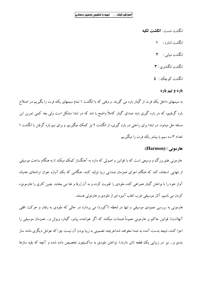انگشت شست : **انگشت تکیه**  $\mathbf{A}$ انگشت اشار ه :

انگشت مبانی : ٢

انگشت انگشتری : ٣

انگشت کوچک : ٤

#### باره و نیم باره

به سیمهای داخل یک فرت از گیتار باره می گویند. و وقتی که با انگشت ۱ تمام سیمهای یک فرت را بگیریم در اصلاح باره گرفتیم، که در باره گیری باید صدای گیتار کاملاً واضح با شد که در ابتدا مشکل است ولی بعد کمی تمرین این مسئله حل میشود. در ابتدا برای راحتی در باره گیری، از انگشت ۲ نیز کمک میگیریم. و برای نیم باره گرفتن با انگشت ۱ تعداد ۳ سه سیم یا بیشتر یک فرت را میگیریم.

#### هارمونی (Harmony):

هارمونی علم بزرگ وو وسیعی است که با قوانین و اصولی که دارد به آهنگساز کمک میکند تا به هنگام ساخت موسیقی از نتهایی استفاده کند که هنگام اجرای همزمان صدایی زیبا تولید کنند. هنگامی که یک آوازه خوان ترانههای عامیانه آواز خود را با نواختن گیتار همراهی کند، ملودی را تقویت کرده و به آن ژرفا و غنا می بخشد. چنین کاری را هارمونیزه کردن می نامیم. آثار موسیقی غرب اغلب آمیزه ای از ملودی و هارمونی هستند.

هارمونی به بررسی عمودی موسیقی و نتها در لحظه (آکورد) می پردازد در حالی که ملودی به رفتار و حرکت افقی آنها(نت). قوانین حاکم بر هارمونی عموماً ضمانت میکنند که اگر خواننده، پیانو، گیتار، ویولن و… همزمان موسیقی را اجرا کنند، نتیجه بدست آمده بد صدا نخواهد شد(هرچند تضمینی به زیبا بودن آن نیست چرا که عوامل دیگری مانند ساز بندی و… نیز در زیبایی یک قطعه تاثیر دارند). نواختن ملودی به ساکسیفون تخصیص داده شده و آنچه که بقیه سازها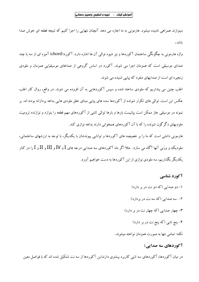مینوازند همراهی نامیده میشود. هارمونی به ما اجازه می دهد آنچنان نتهایی را اجرا کنیم که نتیجه قطعه ای خوش صدا ىاشد.

واژه هارمونی به چگونگی ساختمان آکوردها و نیز شیوه توالی آن ها اشاره دارد. آکورد(chord) آمیزه ای از سه یا چند صدای موسیقی است که همزمان اجرا می شوند. آکورد در اساس گروهی از صداهای موسیقیایی همزمان و ملودی زنجیره ای است از صدایهای منفرد که پیایی شنیده می شوند.

اغلب چنین می پنداریم که ملودی ساخته شده و سپس آکوردهایی به آن افزوده می شوند. در واقع، روال کار اغلب عکس این است. توالی های تکرار شونده از آکوردها سده های پیاپی مبنای خلق ملودی هایی بداهه پردازانه بودنه اند. بر نمونه در موسیقی جاز ممکن است پیانیست بارها و بارها توالی ثابتی از آکوردهای مهم قطعه را بنوازد و نوازنده ترومپت ملودیهای دگرگون شونده را که با آن آکوردهای همخوانی دارند بداهه نوازی کند.

هارمونی دانشی است که ما را بر خصیصه های آکوردها و توانایی پیوندشان با یکدیگر، با توجه به ارزشهای ساختمانی، ملودیک وو وزنبی آنها آگاه می سازد. مثلا اگر ماه آکوردهای سه صدایی درجه های I و IV و III و II و I را در کنار یکدیگر بگذاریم، سه ملودی نوازی از این آکوردها به دست خواهیم آورد.

#### آکورد شناسی

١- دو صدايي (كه دو نت در بر دارد) ۲- سه صدایی (که سه نت در بردارد) ۳- چهار صدایی (که چهار نت در بر دارد) ۴- پنج تایی (که پنج نت در بر دارد) نکته: تمامی نتها به صورت همزمان نواخته میشوند.

#### آکوردهای سه صدایی:

در میان آکوردها، آکوردهای سه تایی کاربرد بیشتری دارنداین آکوردها از سه نت تشکیل شده اند که با فواصل معین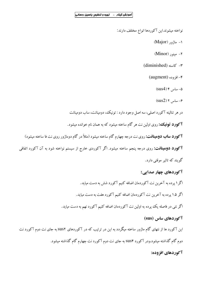نواخته میشوند.این آکوردها انواع مختلف دارند:

- (Major) ماژور (Major)
- ۲– مینور (Minor)
- (diminished) حاسته $\tau$

 $(augment)$  افزوده (augment)

 $(sus4)$ ۴ ساس (sus4)

 $(sus2)$  ۲ ساس ۲

در هر تنالیته آکورد اصلی، سه اصل وجود دارد : تونیک، دومینانت، ساب دومینانت

**آکورد تونیک؛** روی اولین نت هر گام ساخته میشود که به همان نام خوانده میشود.

**آکورد ساب دومینانت:** روی نت درجه چهارم گام ساخته میشود (مثلاً در گام دوماژور روی نت فا ساخته میشود)

**آکورد دومینانت:** روی درجه پنجم ساخته میشود. اگر آکوردی خارج از سیستم نواخته شود به آن آکورد اتفاقی

گويند که تاثير موقتي دارد.

# آکوردهای چهار صدایی:

اگر۱ پرده به آخرین نت آکوردمان اضافه کنیم آکورد شش به دست میاید.

اگر ۱.۵ پرده به آخرین نت آکوردمان اضافه کنیم آکورد هفت به دست میاید.

اگر نتی در فاصله یک پرده به اولین نت آکوردمان اضافه کنیم آکورد نهم به دست میاید.

#### آ *ک*وردهای ساس (sus)

این آکورد ها از نتهای گام ماژور ساخته میگردد به این در ترتیب که در آکوردهای sus۲ به جای نت دوم آکورد نت دوم گام گذاشته میشود.ودر آکورد SUS۴ به جای نت دوم آکورد نت چهارم گام گذاشته میشود.

# آكوردهاي افزوده: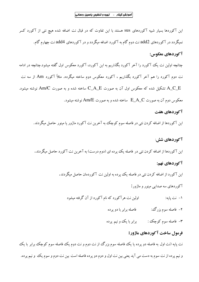این آکوردها بسیار شبیه آکوردهای SUS هستند با این تفاوت که در قبال نت اضافه شده هیچ نتی از آکورد کسر نمیگردد در آکوردهای add2 نت دوم گام به آکورد اضافه میگردد و در آکوردهای add4 نت چهارم گام.

# آكوردهاى معكوس:

چنانچه اولین نت یک آکورد را آخر آکورد بگذاریم به این آکورد، آکورد معکوس اول گفته میشود.چنانچه در ادامه نت دوم آکورد را هم آخر آکورد بگذاریم ، آکورد معکوس دوم ساخته میگردد. مثلاً آکورد Am از سه نت نوشته میشود. A\_C\_E تشکیل شده که معکوس اول آن به صورت C\_A\_E ساخته شده و به صورت Am/C نوشته میشود. معکوس دوم آن به صورت E\_A\_C ساخته شده و به صورت Am/E نوشته میشود.

#### آكوردهاي هفت

این آکوردها از اضافه کردن نتی در فاصله سوم کوچک به آخرین نت آکورد ماژور یا مینور حاصل میگردند.

#### آکوردهای شش:

این آکوردها از اضافه کردن نتی در فاصله یک پرده ای (دوم درست) به آخرین نت آکورد حاصل میگردند.

# آكوردهاي نهم:

این آکورد از اضافه کردن نتبی در فاصله یک ییرده به اولین نت آکوردمان حاصل میگردند.

آکوردهای سه صدایی مینور و ماژور :

اولین نت هر آکورد که نام آکورد از آن گرفته میشود ۱– نت یایه:

> ۲– فاصله سوم بزرگ،: فاصله برابر با دو پرده

برابر با یک و نیم پرده ۳- فاصله سوم کوچک :

#### فرمول ساخت آكوردهاي ماژور:

نت پایه (نت اول به فاصله دو پرده یا یک فاصله سوم بزرگ از نت دوم و نت دوم یک فاصله سوم کوچک برابر با یک و نيم پرده از نت سوم به دست مي آيد يعني بين نت اول و دوم دو پرده فاصله است بين نت دوم و سوم يک و نيم پرده.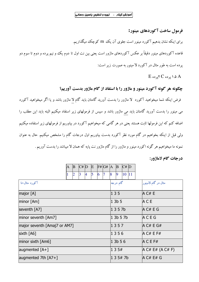فرمول ساخت آكوردهاي مينور:

برای اینکه نشان بدهیم آکورد مینور است جلوی آن یک m کوچک میگذاریم.

قاعده آکوردهای مینور دقیقاً بر عکس آکوردهای ماژور است یعنی بین نت اول تا دوم یک و نیم پرده و دوم تا سوم دو پرده است به طور مثال در آکورد لا مینور به صورت زیر است:

 $E$  ۱.۵ پر ده  $C$  ۲ پر ده  $A$ 

چگونه هر گونه آکورد مینور و ماژور را با استفاد از گام ماژور بدست آوریم؟

فرض اینکه شما میخواهید آکورد لا ماژور را بدست آورید گامتان باید گام لا ماژور باشد و یا اگر میخواهید آکورد می مینور را بدست آورید گامتان باید می ماژور باشد و سپس از فرمولهای زیر استفاد میکنیم البته باید این مطلب را اضافه کنم که این فرمولها ثابت هستند یعنی در هر گامی که میخواهیم آکورد در بیاوریم از فرمولهای زیر استفاده میکنیم ولی قبل از اینکه بخواهیم در گام مورد نظر آکورد بدست بیاوریم اول درجات گام را مشخص میکنیم. حال به عنوان نمونه ما میخواهیم هر گونه اکورد مینور و ماژور را از گام ماژور نت پایه که همان لا میباشد را بدست آوریم .

درجات گام لاماژور:

|                              | $\mathbf{A}$ | $ {\bf B} $    | C# D |                | E              |   | F# G# A B |       |           | C# D   |  |                     |
|------------------------------|--------------|----------------|------|----------------|----------------|---|-----------|-------|-----------|--------|--|---------------------|
|                              | 1            | $\overline{2}$ | 3    | $\overline{4}$ | $\overline{5}$ | 6 |           | 8     | 9         | 10 11  |  |                     |
| آکورد مثال+نا                |              |                |      |                |                |   |           |       | گام درجه  |        |  | مثال در گام لامینور |
| major $[A]$                  |              |                |      |                |                |   |           | 1 3 5 |           |        |  | AC#E                |
| $minor$ [Am]                 |              |                |      |                |                |   |           |       | 13b5      |        |  | ACE                 |
| seventh $[A7]$               |              |                |      |                |                |   |           |       | 1 3 5 7 b |        |  | AC# E G             |
| $ $ minor seventh $[Am7]$    |              |                |      |                |                |   |           |       |           | 13b57b |  | <b>ACEG</b>         |
| major seventh [Amaj7 or AM7] |              |                |      |                |                |   |           |       | 1357      |        |  | A $C# E G#$         |
| sixth $[A6]$                 |              |                |      |                |                |   |           |       | 1356      |        |  | A C# E F#           |
| $ $ minor sixth $ A$ m6 $ $  |              |                |      |                |                |   |           |       | 1 3b 5 6  |        |  | $ACE$ F#            |
| augmented $[A+]$             |              |                |      |                |                |   |           |       | 135#      |        |  | A C# E# (A C# F)    |
| augmented 7th $[A7+]$        |              |                |      |                |                |   |           |       |           | 135#7b |  | A C# E# G           |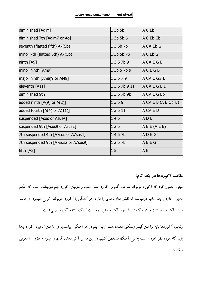$\sim$ 

| diminished [Adim]                    | $1$ 3b 5b       | A C Eb                |
|--------------------------------------|-----------------|-----------------------|
| diminished 7th [Adim7 or Ao]         | $1$ 3b 5b 6     | $A \subset Eb$ Gb     |
| seventh (flatted fifth) A7(5b)       | 135b7b          | A C# Eb G             |
| minor 7th (flatted 5th) A7(5b)       | 1 3b 5b 7b      | $A \subset Eb G$      |
| $ninth$ $[A9]$                       | 1357b9          | AC# EGB               |
| minor ninth [Am9]                    | 13b57b9         | <b>ACEGB</b>          |
| major ninth [Amaj9 or AM9]           | 13579           | AC# E G# B            |
| eleventh [A11]                       | 1357b911        | AC# EGBD              |
| diminished 9th                       | 1357b9b         | A C# E G Bb           |
| added ninth $[A(9)$ or $A(2)]$       | 1359            | AC# EB(ABC# E)        |
| added fourth $[A(4)$ or $A(11)]$     | $ 1\;3\;5\;11 $ | AC#ED                 |
| suspended [Asus or Asus4]            | 145             | ADE                   |
| suspended 9th [Asus9 or Asus2]       | 125             | $\overline{AB}E(AEB)$ |
| 7th suspended 4th [A7sus or A7sus4]  | 1457b           | ADEG                  |
| 7th suspended 9th [A7sus2 or A7sus9] | 1257b           | ABEG                  |
| fifth $[AS]$                         | 15              | A E                   |

مقایسه آکوردها در یک گام:

میتوان تصور کرد که آکورد تونیک صاحب گام و آکورد اصلی است و دومین آکورد مهم دومینانت است که حکم مدیر را دارد و بعد ساب دومینانت که نقش معاون مدیر را دارد. هر آهنگی با آکورد تونیک شروع میشود و خاتمه مییابد آکورد دومینانت بر تمام گام تسلط دارد .آکورد ساب دومینانت کمک کننده آکورد اصلی است.

زنجیره آکوردها پایه نواختن گیتار وتشکیل دهنده هسته اولیه ریتم در هر آهنگی میباشد.برای ساختن زنجیره آکورد ابتدا باید گام مورد نظر خود را بسته به نوع آهنگ مشخص کنیم. در این درس آکوردهای گامهای مینور و ماژور را معرفی ميكنيم: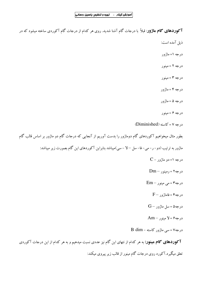$\mathcal{L}^{\text{max}}$ 

**آکوردهای گام ماژور**: قبلاً با درجات گام آشنا شدید. روی هر کدام از درجات گام آکوردی ساخته میشود که در ذيل آمده است: درجه ۱= ماژور درجه ۲ = مینور درجه ۳ = مینور درجه ۴ = ماژور درجه ۵ = ماژور  $c_1 \neq 9 = 9$ درجه  $(Diminished)$  درجه ۷ = کاسته بطور مثال میخواهیم آکوردهای گام دوماژور را بدست آوریم از آنجایی که درجات گام دو ماژور بر اساس قالب گام ماژور به ترتیب (دو– ر– می– فا– سل — لا – سی)میباشد بنابراین آکوردهای این گام بصورت زیر میباشد:  $C - \eta$  در حه ۱= دو ماژور  $Dm - j$ درجه ۲ = رمينو ر  $Em -$ درجه ۳ = می مینور  $F-$  9 فاماژورد - $G - j$ درجه۵ = سل ماژور  $Am - y = 2 - 1$ درجه  $B \dim -$  درجه $V = w$  = سے ماژور کاسته **آکوردهای گام مینور:** به هر کدام از نتهای این گام نیز عددی نسبت میدهیم و به هر کدام از این درجات آکوردی تعلق میگیرد.آکورد روی درجات گام مینور از قالب زیر پیروی میکند: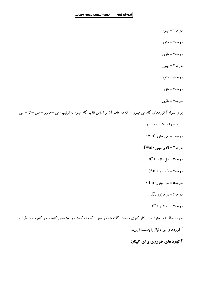$\hat{\boldsymbol{\beta}}$ 

- درجه ۱ = مینور
- درجه ۲ = مینور
- درجه۳ = ماژور
- درجه۴ = مینور
- درجه۵ = مینور
- درجه۶ = ماژور
- درجه ۷ = ماژور

برای نمونه آکوردهای گام می مینور را که درجات آن بر اساس قالب گام مینور به ترتیب (می —فادیز —سل — لا —سی

- –دو –ر) میباشد را میبینیم:
- $Em)$  درجه ۱ = می مینور
- درجه ۲ = فاديز مينور (F#m)
	- $(G)$  درجه ۳ = سل ماژور
	- درجه۴ = لا مینور (Am)
	- $(Bm)$  درجه۵ = سی مینور
		- $(C)$  درجه ۶ = دو ماژور
			- $(D)$  درجه $V = V$  ماژور

خوب حالا شما میتوانید با بکار گیری مباحث گفته شده زنجیره آکورد، گامتان را مشخص کنید و در گام مورد نظرتان آکوردهای مورد نیاز را بدست آورید.

آکوردهای ضروری برای گیتار: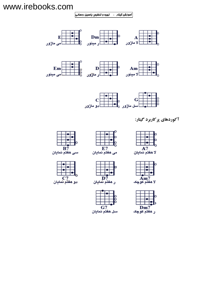# www.irebooks.com

۔<br>آموزش گیتار – تھیہ و تنظیم: یاسین رحمانی



آکوردهای پر کاربرد گیتار:



سی هفتم نمایان













D7<br>ر هفتم نمایان

 $G7$ 

سل هفتم نمایان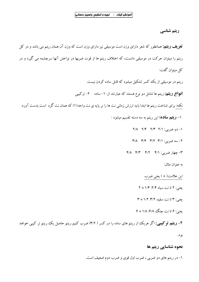$\mathcal{L}_{\rm eff}$  .

ریتم شناسی

**تعریف ریتم:** همانطور که شعر دارای وزن است موسیقی نیز دارای وزن است که وزن آن همان ریتم می باشد و در کل ریتم را میتوان حرکت در موسیقی دانست، که اختلاف ریتم ها از قوت ضربها در نواختن آنها سرچشمه می گیرد و در كل ميتوان گفت:

ریتم در موسیقی از یک کسر تشکیل میشود که قابل ساده کردن نیست.

**انواع ریتم:** ریتم ها شامل دو نوع هستند که عبارتند از: ۱–ساده **۲**– ترکیبی

نکته: برای شناخت ریتم ها ابتدا باید ارزش زمانی نت ها را بر پایه ی نت واحد(۱) که همان نت گرد است بدست آورد.

۱**– ریتم ساده:** این ریتم به سه دسته تقسیم میشود :

 $Y/A$  7/۴  $Y/Y$  7/1  $\Rightarrow -1$ 

- $Y/A$   $Y/F$   $Y/Y$   $Y/1$   $Y/1$   $\div$   $\div$   $Y$
- $f/A$   $f/Y$   $f/Y$   $f/I$   $f/I$   $\frac{1}{2}$   $\frac{1}{2}$   $\frac{1}{2}$

به عنوان مثال:

این علامت( ٭ ) یعنی ضرب

يعني: ٢ تا نت سياه ٢/٤: ١/٤ \* ٢

بعني: ٣ تا نت سفيد ٣/٢: ١/٢ \* ٣

بعني: ۶ تانت چنگ ۶/۸: ۱/۸ \* ۶

**۲– ریتم توکیبی:** اگر هریک از ریتم های ساده را در کسر ( ۳/۲) ضرب کنیم ریتم حاصل یک ریتم تر کیبی خواهد

بو د.

#### نحوہ شناسایے ریتم ها

۱- در ریتم های دو ضربی ، ضرب اول قوی و ضرب دوم ضعیف است.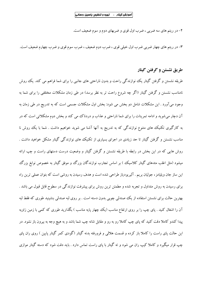۲- در ریتم های سه ضربی ، ضرب اول قوی و ضربهای دوم و سوم ضعیف است.

۳- در ریتم های چهار ضربی ضرب اول خیلی قوی ، ضرب دوم ضعیف ، ضرب سوم قوی و ضرب چهارم ضعیف است.

## طريق نشستن و گرفتن گيتار

طریقه نشستن و گرفتن گیتار یک نوازندگی راحت و بدون ناراحتی های جانبی را برای شما فراهم می کند. یک روش نامناسب نشستن و گرفتن گیتار (اگر چه شروع راحت تر به نظر برسد) در طی زمان مشکلات مختلفی را برای شما به وجود میآورد . این مشکلات شامل دو بخش می شود: بخش اول مشکلات جسمی است که به تدریج در طی زمان به آن دچار می شوید و ادامه تمرینات را برای شما ناراحتی و عذاب و دردناک می کند و بخش دوم مشکلاتی است که در به کارگیری تکنیک های متنوع نوازندگی که به تدریج به آنها آشنا می شوید خواهیم داشت . شما با یک روش نا مناسب نشستن و گرفتن گیتار تا حد زیادی در اجرای بسیاری از تکنیک ههای نوازندگی گیتار مشکل خواهید داشت . روش هایی که در این بخش در رابطه با طریقه نشستن و گرفتن گیتار و وضعیت درست دستهای راست و چپ ارائه میشود (مثل اغلب متدهای گیتار کلاسیک ) بر اساس تجارب نوازندگان بزرگ و موفق گیتار به خصوص نوابغ بزرگ این ساز جان ویلیامز ، جولیان بریم . آلیریودیاز طراحی شده است و هدف رسیدن به روشی است که بتوان عملی ترین راه برای رسیدن به روش متداول و تجربه شده و مطمئن ترین روش برای پیشرفت نوازندگی در سطوح قابل قبول می باشد . بهترین حالت برای نشستن استفاده از یک صندلی چوبی بدون دسته است . بر روی لبه صندلی بنشینید طوری که فقط لبه آن را اشغال کنید . پای چپ را بر روی ارتفاع مناسب (یک چهار پایه مناسب ) بگذارید طوری که کمی با زمین زاویه پیدا کندو کاملا دقت کنید که پای چپ کاملا رو به رو و مقابل شانه چپ شما باشد و به هیچ وجه به بیرون باز نشود. در این حالت یای راست را کاملا باز کرده و قسمت هلالی و فرورفته بدنه گیتار (گودی کمر گیتار پایین ) روی ران یای چپ قرار میگیرد و کاملا کیپ ران می شود و ته گیتار با پای راست تماس دارد . باید دقت شود که دسته گیتار موازی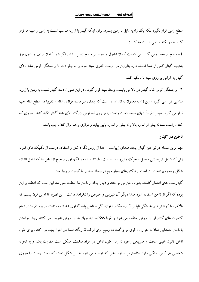سطح زمین قرار نگیرد بلکه یک زاویه مایل با زمین بسازد. برای اینکه گیتار با زاویه مناسب نسبت به زمین و سینه ما قرار گیرد به دو نکته اساسی باید توجه کرد :

1– سطح صفحه رویی گیتار می بایست کاملا شاقول و عمود بر سطح زمین باشد . اگر شما کاملا صاف و بدون قوز بنشینید گیتار کمی از شما فاصله دارد بنابراین می بایست قدری سینه خود را به جلو داده تا برجستگی قوس شانه بالای گیتار به آرامی بر روی سبنه تان تکیه کند.

۲– برجستگی قوس شانه گیتار در بالا می بایست وسط سینه قرار گیرد . در این صورن دسته گیتار نسبت به زمین با زاویه مناسبی قرار می گیرد و این زاویه معمولاً به اندازه ای است که ابتدای سر دسته موازی شانه و تقریبا در سطح شانه چپ قرار می گیرد. سپس تقریباً انتهای ساعد دست راست را بر روی لبه قوس بزرگ بالای بدنه گیتار تکیه کنید . طوری که کتف راست شما نه بیش از اندازه بالا و نه بیش از اندازه پایین بیاید و موازی و هم تراز کتف چپ باشد.

#### ناخن در گیتار

مهم ترین مسئله در نواختن گیتار ایجاد صدای زیباست . جدا از روش نگه داشتن و استفاده درست از تکنیک های ضربه زنبی که شامل ضربه زنبی مفصل متحرک وو نیرو دهنده است مطمئنا استفاده و نگهداری صحیح از ناخن ها که شامل اندازه شکل و نحوه پرداخت آن است از فاکتورهای بسیار مهم در ایجاد صدایی با کیفیت و زیبا است .

گیتاریست های اعصار گذشته بدون ناخن می نواختند و دلیل اینکه از ناخن ها استفاده نمی شد این است که اعتقاد بر این بوده که اگر از ناخن استفاده شود صدا دیگر آن شیرینی و خلوص را نخواهد داشت . این نظریه تا اوایل قرن بیستم که بالاخره با کوشش۵های خستگی ناپذیر آندره سگوویا نوازندگی با ناخن پایه گذاری شد ادامه داشت امروزه تقریبا در تمام کنسرت های گیتار از این روش استفاده می شود و تقریا ۹۹٪ اساتید جهان به این روش تدریس می کنند. روش نواختن با ناخن ،صدایی صاف، متوازن ، قوی تر و گسترده وسیع تری از لحاظ رنگ صدا در اجرا ایجاد می کند . برای طول ناخن قانون خیلی سخت و صریحی وجود ندارد . طول ناخن در افراد مختلف ممکن است متفاوت باشد و به تجربه شخصی هر کس بستگی دارد. مناسبترین اندازه ناخن که توصیه می شود به این شکل است که دست راست را طوری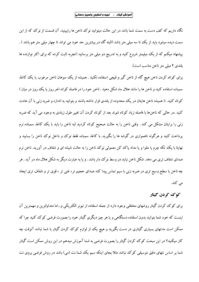نگاه داریم که کف دست به سمت شما باشد در این حالت میتوانید نوک ناخن ها راببینید. آن قسمت از نوک که از این سمت دیده میشود باید از یک تا سه میلی متر باشد (البته گاه در بیشترین حد خود می تواند تا چهار میلی متر هم باشد ) . پیشنهاد میکنم که از یک میلیمتر شروع کنید و به تدریج دو میلی متر برسانید (تجربه ثابت کرده که برای اکثر نوازنده ها بلندي ٢ ميلي متر ناخن مناسب است).

برای کوتاه کردن ناخن هیچ گاه از ناخن گیر و قیچی استفاده نکنید . همیشه از یک سوهان ناخن مرغوب یا یک کاغذ سمباده استفاده کنید و ناخن ها را مانند هلال ماه شکل دهید . ناخن خود را در فاصله کوتاه (هر روز یا یک روز در میان ) کو تاه کنید. تا همیشه ناخن هایتان در یک محدوده از بلندی قرار داشته باشند و بتوانید به اندازه و ضربه زنی با آن عادت کنید .در حالبی که ناخنها با فاصله زیاد کوتاه شوند بعد از کوتاه کردن آن تغییر طول زیادی به وجود می آید که ضربه زنبی را برایتان مشکل می کند . وقتی ناخن را به حالت صحیح کوتاه کردید لبه ناخن را باید با یک کاغذ سمباده نرم یرداخت کنید و هرگونه ناهمواری در گوشه ها را بگیرید. با کاغذ سمباده فقط نوک و داخل نوک ناخن را بسابید و نهایتا با یک تکه چرم یا مقوا و یا مداد پاک کن معمولی نوک ناخن را به حالت شیشه ای و شفاف در آورید. ناخن نرم صدای شفاف تری می دهد. شکل ناخن نباید در وسط نوک دار باشد . و یا به عبارت دیگر به شکل هلال ماه در آید . هر چه ناخن با سطح وسیع تری در ضربه زنی با سیم تماس پیدا کند صدای حجیم تر ، غنی تر ، قوی تر و شفاف تری ایجاد می کند.

# کوک کردن گیتار

برای کوک کردن گیتار روشهای مختلفی وجود دارد از جمله استفاده از تیونر الکتریکی و…اما متداولترین و مهمترین آن اینست که خود شما بتوانید بدون استفاده دستگاهی و یا هر چیز دیگری گیتار خود را بصورت فرضی کوک کنید چرا که ممکن است مدتهای بسیاری گیتاری در دست بگیرید و هیچ یک از لوازم کوک کردن گیتار با شما نباشد آنوقت چه کار میکنید؟ در این مبحث کوک کردن گیتار را بصورت فرضی به شما آموزش میدهم در این روش ممکن است گیتار شما بر اساس نتهای دقیق موسیقی کوک نباشد مثلا بجای اینکه سیم یک شما نت (می) باشد در روش فرضی بروی نت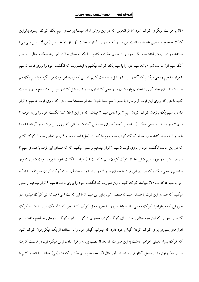(فا) یا هر نت دیگری کوک شود اما از انجایی که در این روش تمام سیمها بر مبنای سیم یک کوک میشود بنابراین کوک صحیح و فرضی خواهیم داشت. می دانیم که سیمهای گیتاردر حالت آزاد از بالا به پایین ( می لا ر سل سی می) میباشد در این روش ابتدا سیم یک خود را تا حدی سفت میکنیم یا آنکه به همان حالت آنرا رها میکنیم حال بر فرض آنکه سیم اول ما نت (می) باشد سیم دوم را با سیم یک کوک میکنیم به اینصورت که انگشت خود را بروی فرت ۵ سیم ۲ قرار میدهیم وسعی میکنیم که آنقدر سیم ۲ را شل و یا سفت کنیم که نتی که بروی این فرت قرار گرفته با سیم یک هم صدا شود( برای جلوگیری ازاحتمال پاره شدن سیم سعی کنید اول سیم ۲ رو شل کنید و سپس به تدریج سیم را سفت کنید تا نتی که بروی این فرت قرار دارد با سیم ۱ هم صدا شود) بعد از همصدا شدن نتی که بروی فرت ۵ سیم ۲ قرار دارد با سیم یک , زمان کوک کردن سیم ۳ بر اساس سیم ۲ میباشد که در این زمان شما انگشت خود را بروی فرت ۴ سیم ۳ قرار میدهید و سعی میکنید( بر اساس آنچه که برای سیم قبل گفته شده ) نتی که بروی این فرت قرار گرفته شده را با سیم ۲ همصدا کنید.حال بعد از کوک کردن سیم سوم ما که نت (سل) است , سیم ۴ را بر اساس سیم ۳ کوک کنیم که در این حالت انگشت خود را بروی فرت ۵ سیم ۴ قرار میدهیم و سعی میکنیم که که صدای این فرت با صدای سیم ۳ هم صدا شود در مورد سیم ۵ نیز بعد از کوک کردن سیم ۴ که نت (ر) میباشد انگشت خود را بروی فرت ۵ سیم ۵ قرار میدهیم و سعی میکنیم که صدای این فرت با صدای سیم ۴ هم صدا شود و بعد آن نوبت کوک کردن سیم ۶ میباشد که آنرا با سیم ۵ که نت (لا) میباشد کوک کنیم با این صورت که انگشت خود را بروی فرت ۵ سیم ۶ قرار میدهیم و سعی میکنیم که صدای این فرت با صدای سیم ۵ همصدا شود بنابر این سیم ۶ ما نیز که نت (می) میباشد نیز کوک میشود .در صورتی که میخواهید کوک دقیقی داشته باید سیمها را بطور دقیق کوک کنید چرا که اگه یک سیم را اشتباه کوک کنید از آنجایی که این سیم مبنایی است برای کوک کردن سیمهای دیگر بنا براین, کوک نادرستی خواهیم داشت. نرم افزارهای بسیاری برای کوک کردن گیتاروجود دارد که میتوانید گیتار خود را با استفاده از یک میکروفون کوک کنید که کوک بسیار دقیقی خواهید داشت به این صورت که بعد از نصب برنامه و قرار دادن فیش میکروفون در قسمت کارت صدا, میکروفون را در مقابل گیتار قرار میدهید بطور مثال اگر بخواهیم سیم یک را که نت (می) میباشد را تنظیم کنیم با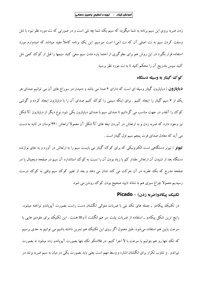زدن ضربه بروی این سیم برنامه به شما میگوید که سیم یک شما چه نتی است و در صورتی که نت مورد نظر نبود با شل وسفت کردن سیم به نت اصلی آن که نت (می) است میرسیم. این یک ببرنامه کاملاً مفید میباشد که امیدوارم مورد استفاده قرار بگیرد در این روش هم برای جلوگیری از احتما پاره شدن سیم سعی کنید سیمها را قبل از کوک کمی شل کنید سپس بتدریج آن را محکم کنید تا به نت مورد نظر برسید

#### کو ک گیتار به وسیله دستگاه

**دیاپازون :** دیاپازون گیتار وسیله ای است که دارای ۶ صدا می باشد و دمیدن در سوراخ های آن می توانیم صدای هر یک از ۶ سیم گیتار را ایجاد کنیم . برای اینکه سیمی را کوک کنیم صدای آن را با دیایازون ایجاد کرده و گوشی کوک را آنقدر در جهت مناسب می گردانیم تا صدای سیم با صدای دیاپازون یکی شود نوع دیگر از دیاپازون U شکل نیز وجود دارد که ضربه زدن و به ارتعاش در آوردن تیغه های  ${\rm U}$  شکل آن معمولا ارتعاش ۴۴۰ نوسان در ثانیه به دست می آید که معادل صدای فرت پنجم سیم اول گیتار است .

**تیونو :** تیونر دستگاه<sub>ی</sub> است الکترونیکی که برای کوک گیتار می بایست سیم را به ارتعاش در آورد و به جای نوازنده دستگاه بعد از شنیدن آن ارتعاش مقدار کم یا زیاد بودن آن را نسبت به کوک استاندارد آن سیم در صفحه دیجیتال یا در صفحه مدرج که یک عقربه در آن حرکت می کند نشان می دهد و بعد از تغییر کوک سیم وقتی به کوک درست رسیدیم معمولاً چراغ سبزی هم به نشانه تایید صحیح بودن کوک روشن می شود.

#### تكنيك پيكادو(ضربه زدن) - Picado

در تکنیک پیکادو , جمله های تک نتی با ضربات متوالی انگشتان دست راست بصورت آپویاندو نواخته میشود. رایج ترین شکل پیکادو , استفاده از ضربات پشت سر هم انگشت i وm هست . این تکنیک برای ملودی هایی با سرعت پایین هم استفاده می شود. طبق معمول اگر روی این تکنیک هم تمرین داشته باشیم می توانیم به حدی برسیم که تک نتها رو هم بتوانیم با سرعت با لا اجرا کنیم. در فلامنکو تک نتها بصورت آپویاندو زده میشود نه بصورت تیراندو . و تناوب تکرار برای انگشتان اشاره و وسط مهم است یعنی باید بصورت یکی در میان به سیم ضربه بزنند در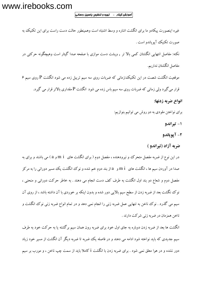www.irebooks.com

آموزش گیتار ـ تهیه و تنظیم: یاسین رحمانی|

مفصل دوم و شعاع دو بند اول انگشت به طرف کف دست انجام می دهند . به خاطر حرکت دورانی و منحنی ، نوک نگشت بعد از ضربه زدن از سطح سیم بالایی دور شده و بدون اینکه بر خوردی با آن داشته باشد ، از روی آن سیم می گذرد . نوک ناخن به تنهایی عمل ضربه زنی را انجام نمی دهد و در تمام انواع ضربه زنی نوک انگشت و

ناخن همزمان در ضربه زنی شرکت دارند .

انگشت ها بعد از ضربه زدن دوباره به جای اول خود برای ضربه رون همان سیم برگشته یا به حرکت خود به طرف سیم جدیدی که باید نواخته شود ادامه می دهند و در فاصله یک ضربه تا ضربه دیگر آن انگشت از مسیر خود زیاد دور نشده و در هوا معلق نمی شود . برای ضربه زدن با انگشت i کاملا باید از سمت چپ ناخن ، و مورب بر سیم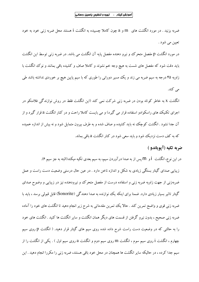ضربه بزنید . در مورد انگشت های m و a چون کاملا چسبیده به انگشت i هستند محل ضربه زنبی خود به خود تعيين مي شود .

در مورد انگشت p مفصل متحرک وو نیرو دهنده مفصل پایه آن انگشت می باشد. در ضربه زنی توسط این انگشت باید دقت شود که مفصل های شست به هیچ وجه خم نشوند و کاملا صاف و کشیده باقی بمانند و نوک انگشت با زاویه ۴۵ درجه به سیم ضربه می زند و یک مسیر دورانی را طوری که با سیم پایین هیچ بر خوردی نداشته باشد طی می کند.

انگشت x به خاطر کوتاه بودن در ضربه زنبی شرکت نمی کند (این انگشت فقط در روش نوازندگی فلامنکو در اجرای تکنیک های راسکوادو استفاده قرار می گیرد) و می بایست کاملا راحت و در کنار انگشت a قرار گیرد و از آن جدا نشود . انگشت کوچک نه باید کشیده و صاف شده و به طرف بیرون متمایل شود و نه بیش از اندازه خمیده که به کف دست نزدیک شود و باید سع<sub>ی</sub> شود در کنار انگشت a باقی ىماند.

#### ضربه تكيه (آيوياندو )

در این نوع، انگشت İ و M پس از به صدا درآوردن سیم، به سیم بعدی تکیه میکند(البته به جز سیم ۶). زیبایی صدای گیتار بستگی زیادی به شکل و اندازه ناخن دارد . در عین حال درستی وضعیت دست راست و عمل ضربهزنی از جهت زاویه ضربه زنبی و استفاده درست از مفصل متحرک وو نیرودهنده نیز در زیبایی و وضوح صدای گیتار تاثیر بسیار زیادی دارد. ضمنا برای اینکه یک نوازنده به صدا دهندگی (Sonorite) قابل قبولی برسد ، باید با ضربه زنی قوی و واضح تمرین کند . حالا یک تمرین مقدماتی به شرح زیر انجام دهید تا انگشت های خود را آماده ضربه زنی صحیح ، بدون نیرو گرفتن از قسمت های دیگر همان انگشت و سایر انگشت ها کنید . انگشت های خود را به حالتی که در وضعیت دست راست شرح داده شده روی سیم های گیتار قرار دهید. ( انگشت p روی سیم چهارم ، انگشت i روی سیم سوم ، انگشت m روی سیم دوم و انگشت a روی سیم اول ) . یکی از انگشت را از سیم جدا کرده ، در حالیکه سایر انگشت ها همچنان در محل خود باقی هستند، ضربه زنی را مکررا انجام دهید . این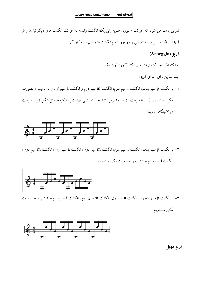تمرین باعث می شود که حرکت و نیروی ضربه زنی یک انگشت وابسته به حرکت انگشت های دیگر نباشد و از آنها نیرو نگیرد. این برنامه تمرینی را در مورد تمام انگشت ها و سیم ها به کار گیرد .

# آريژ (Arpeggio)

به تک تک اجرا کردن نت های یک آکورد آرپژ میگویند.

چند تمرین برای اجرای آریژ:

۱– با انگشت p سیم پنجم، انگشت i سیم سوم، انگشت m سیم دوم و انگشت a سیم اول را به ترتیب و بصورت مکرر ً مینوازیم. (ابتدا با سرعت نت سیاه تمرین کنید بعد که کمی مهارت پیدا کردید مثل شکل زیر با سرعت دو لاچنگ ننوازید)



 $\sim 10^{-11}$ 

۲– با انگشت p سیم پنجم، انگشت i سیم سوم، انگشت m سیم دوم ، انگشت a سیم اول ، انگشت m سیم دوم ، انگشت i سیم سوم به ترتیب و به صورت مکرر مینوازیم.



۳- با انگشت p سیم پنجم، با انگشت a سیم اول، انگشت m سیم دوم ، انگشت i سیم سوم به ترتیب و به صورت مکرر مینوازیم.



آريژ دوبل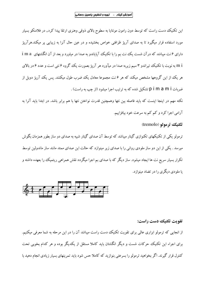این تکنیک دست راست که توسط دون رامون مونتایا به سطوح بالای ذوقی وهنری ارتقا پیدا کرد, در فلامنکو بسیار مورد استفاده قرار میگیرد تا به صدای آرپژ ظرافتی خواص بخشیده و در عین حال آنرا به زیبایی پر میکند.هرآرپژ دارای ۶ نت میباشد که درآن شست یک نت بم را با تکنیک آپایاندو به صدا در میاورد و بعد از آن انگشتهای i m a m i به نوبت با تکنیک تیراندو ۳ سیم زیربه صدا در میآورد هر آریژ بصورت یک گروه ۶ نتی است و عدد ۶ در بالای هر یک از این گروهها مشخص میکند که هر ۶ نت مجموعا معادل یک ضرب طول میکشد. پس یک آریژ دویل از ضربات p i m a m i تشكيل شده كه به ترتيب اجرا ميشود (از چپ به راست) .

نکته مهم در اینجا اینست که باید فاصله بین نتها وهمچنین قدرت نواختن نتها با هم برابر باشد. در ابتدا باید آنرا به آرامي اجرا كرد و كم كم به سرعت خود بيافزاييم.

تکنيک تر مولو (tremolo)

ترمولو یکی از تکنیکهای تکنوازی گیتار میباشد که توسط آن صدای گیتار شبیه به صدای دو ساز بطور همزمان بگوش میرسد . یکی از این دو ساز ملودی روانی را با صدای زیر مینوازد که حالت این صدای ممتد مانند ساز ماندولین توسط تکرار بسیار سریع نت ها ایجاد میشود. ساز دیگر که با صدای بم اجرا میگردد نقش همراهی ریتمیک را بعهده داشته و با ملودی دیگری را در تضاد مینوازد.



تقويت تكنيك دست راست:

از انجایی که ترمولو ابزاری عالمی برای تقویت تکنیک دست راست میباشد آن را در این مرحله به شما معرفی میکنیم. برای اجراء این تکنیک حرکات شست و دیگر انگشتان باید کاملا مستقل از یکدیگر بوده و هر کدام بخوبی تحت کنترل قرار گیرند. اگر بخواهید ترمولو را بسرعتی بنوازید که کاملا حس شود باید تمرینهای بسیار زیادی انجام دهید با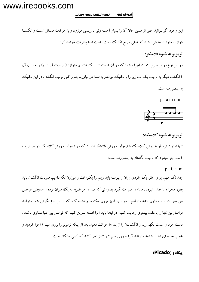# www.irebooks.com

۔<br>|آموزش گیتار ـ تهیه و تنظیم: یاسین رحمانی

این وجود اگر بتوانید حتی از همین حالا آن را بسیار آهسته ولی با ریتمی موزون و با حرکات مستقل شست و انگشتها بنوازید میتوانید مطمئن باشید که خیلی سریع تکنیک دست راست شما پیشرفت خواهد کرد.

# ترمولو به شيوه فلامنكو:

در این نوع در هر ضرب ۵ نت اجرا میشود که در آن شست ابتدا یک نت بم مینوازد (بصورت آپایاندو) و به دنبال آن ۴ انگشت دیگر به ترتیب یک نت زیر را با تکنیک تیراندو به صدا در میاورند بطور کلی ترتیب انگشتان در این تکنیک به اینصورت است:

 $p$  a  $m$  i  $m$ 



ترمولو به شيوه كلاسيك:

تنها تفاوت ترمولو به روش کلاسیک با ترمولو به روش فلامنکو اینست که در ترمولو به روش کلاسیک در هر ضرب ۴ نت اجرا میشود که ترتیب انگشتان به اینصورت است:

 $p$ . i. a. m

چند نکته مهم: برای خلق یک ملودی روان و پیوسته باید ریتم را یکنواخت و موزون نگه داریم. ضربات انگشتان باید بطور مجزا و با مقدار نیروی مساوی صورت گیرد بصورتی که صدای هر ضربه به یک میزان بوده و همچنین فواصل بین ضربات باید مساوی باشد.میتوانیم ترمولو را آرپژ بروی یک سیم تشبیه کرد که با این نوع نگرش شما میتوانید فواصل بین نتها را با دقت بیشتری رعایت کنید. در ابتدا باید آنرا اهسته تمرین کنید که فواصل بین نتها مساوی باشند . دست خود را سست نگهدارید و انگشتانتان را از بند ها حرکت دهید. بعد از اینکه ترمولو را بروی سیم ۱ اجرا کردید و خوب حرفه ای شدید شدید میتوانید آنرا به روی سیم ۲ و ۳نیز اجرا کنید که کمی مشکلتر است

#### (Picado) سکاده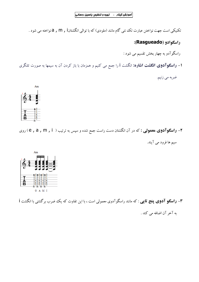تکنیکی است جهت نواختن عبارت تک نتی گام مانند (ملودی) که با توالی انگشتانA , m , i نواخته می شود .

راسكوادو (Rasgueado):

راسگوآدو به چهار بخش تقسیم می شود :

**ا– راسگوآدوی انگشت اشاره:** انگشت i را جمع می کنیم و همزمان با باز کردن آن به سیمها به صورت تلنگری

ضربه مي زنيم.



 $\sim 10^{-11}$ 

۲- **راسگوآدوی معمولی :** که در آن انگشتان دست راست جمع شده و سپس به ترتیب ( e , a , m , i ) روی سیم ها فرود می آیند.



۳– **راسگو آدوی پنج تایی** : که مانند راسگوآدوی معمولی است ، با این تفاوت که یک ضرب برگشتی با انگشت i

به آخر آن اضافه می کند .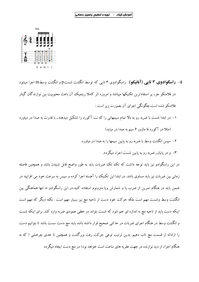

- £- **راسگوادوی ۳ تایی (آبانیکو)**: راسگوادوی ۳ تایی که توسط انگشت شستp و انگشت وسطm اجرا میشود در فلامنکو جزء پر استفادترین تکنیکها میباشد و امروزه اثر کاملا ریتمیک آن باعث محبوبیت بین نوازندگان گیتار فلامنکو شده است.چگونگی اجرای آن بصورت زیر است :
- ۱– در ابتدا شست با ضربه رو به بالا تمام سیمهائی را که نت آکورد را تشکیل میدهند, با قدرت به صدا در میاورد
	- (مثلا در آکورد فا ماژور ۶ سیم به صدا در میاید)
	- ۲– سیس انگشت وسط با ضربه رو به پایین سیمها را به صدا در میاورد.
		- ۳- و در پایان , ضربه رو به پایین شست اجراء میگردد.

در این راسگوادو نیز باید توجه داشت که تک تک ضربات باید به طور واضح قابل شنیدن باشد و همچنین فاصله زمانی بین ضربات نیز باید مساوی باشد. در ابتدا این تکنیک را آهسته اجرا کرده و سیس به سرعت خود می افزایید در ضمن باید در هنگام تمرین از ضرب پا و شمارش ویا مترونوم استفاده کنید.در این راسگوادو نه تنها هماهنگی بین انگشت وسط وشست مهم است بلکه حرکت خود دست از ناحیه مچ نیز بسیار مهم است . نکته دیگر که مهم است اینکه دست باید از ناحیه مچ به اندازه ای خم شود که شست بتواند در خطی عمودی ضربه وارد کند. برای اینکه شست و انگشت وسط در هنگام اجرای ضربات در حا لتی صحیح قرار داشته باشد باید مچ دست سست باشد تا بتوانیم دست را ازادانه از قسمت مچ تاب دهیم. بدین ترتیب نوعی حرکت رفت وبرگشت و همچنین تا حدی چرخشی ( که به هنگام اجراء از دید نوازنده در جهت عقربه های ساعت است خواهد بود) در مچ دست ایجاد میگردد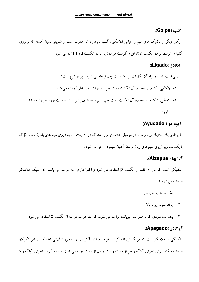#### :(Golpe):

یکمی دیگر از تکنیک های مهم و حیاتی فلامنکو ، گلپ نام دارد که عبارت است از ضربتی نسبتا آهسته که بر روی گلیپدور توسط نوک انگشت a (ناخن و گوشت هر دو) یا با دو انگشت a و m زده می شود .

# :(Ligado) السكادو

#### آيودادو ( Ayudado):

آیودادو یک تکنیک زیبا و موثر در موسیقی فلامنکو می باشد که در آن یک نت بم (روی سیم های باس) توسط p که با یک نت زیر (روی سیم های زیر) توسط i دنبال میشود ، اجرا می شود .

#### آلزايوا ( Alzapua):

تکنیکی است که در آن فقط از انگشت p استفاده می شود و اکثرا دارای سه مرحله می باشد .(در سبک فلامنکو استفاده می شود.)

- ۱– یک ضربه رو به یائین
- ۲– یک ضربه رو به بالا
- ۳- یک نت ملودی که به صورت آیویاندو نواخته می شود. که البته هر سه مرحله از انگشت D استفاده می شود .

#### آیاگادو (Apagado):

تکنیکی در فلامنکو است که هر گاه نوازنده گیتار بخواهد صدای آکوردی را به طور ناگهانی خفه کند از این تکنیک استفاده میکند. برای اجرای آپاگادو هم از دست راست و هم از دست چپ می توان استفاده کرد . اجرای آپاگادو با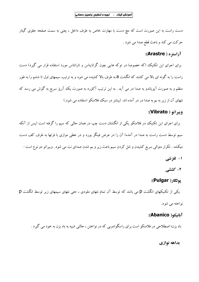$\mathcal{L}_{\rm{max}}$ 

دست راست به این صورت است که مچ دست با مهارت خاص به طرف داخل ، یعنی به سمت صفحه جلوی گیتار حرکت مي کند و باعث قطع صدا مي شود .

# آراستره ( Arastre):

برای اجرای این تکنیک (که خصوصا در توکه هایی چون گرانایناس و تارانتاس مورد استفاده قرار می گیرد) دست راست را به گونه ای بالا می کشند که انگشت a به طرف بالا کشیده می شود و به ترتیب سیمهای اول تا ششم را به طور منظم و به صورت آپویاندو به صدا در می آید . به این ترتیب آکورد به صورت یک آرپژ سریع به گوش می رسد که نتهای آن از زیر به بم به صدا در در آمده اند. (بیشتر در سبک فلامنکو استفاده می شود.)

# ويبراتو ( Vibrato):

برای اجرای این تکنیک در فلامنکو یکی از انگشتان دست چپ در همان حالی که سیم را گرفته است (پس از آنکه سیم توسط دست راست به صدا در آمده) آن را در عرض فینگر بورد و در خطی موازی با فرتها به طرف کف دست میکشد . تکرار متوالی سریع کشیدن و شل کردن سیم باعث زیر و بم شدن صدای نت می شود . ویبراتو دو نوع است : ۱- لغزشي

۲- کششی

#### یولگار( Pulgar):

 $p$ یکی از تکنیکهای انگشت  $p$  می باشد که توسط آن تمام نتهای ملودی ، حتی نتهای سیمهای زیر توسط انگشت

نواخته مي شود.

# آبانيكو( Abanico):

باد بزن؛ اصطلاحی در فلامنکو است برای راسگوادویی که در نواختن ، حالتی شبیه به باد بزن به خود می گیرد .

#### بداهه نوازي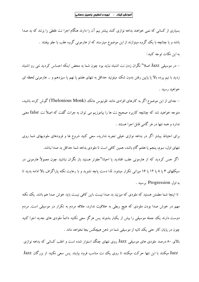بسیاری از کسانی که نمی خواهند بداهه نوازی کنند بیشتر بیم آن را دارند هنگام اجرا نت غلطی را بزنند که بد صدا باشد و یا چنانچه با یک گروه مینوازند از این موضوع میترسند که از هارمونی گروه عقب یا جلو بیفتند . به این نکات توجه کنید:

– در موسیقی Jazz اصلا" نگران زدن نت اشتباه نباید بود چون شما به محض اینکه احساس کردید نتی رو اشتباه زدید با نیم پرده بالا یا پایین رفتن بدون شک میتونید حداقل به نتهای هفتم یا نهم یا سیزدهم و … هارمونی لحظه ای خواهيد رسيد .

– جدای از این موضوع اگر به کارهای افرادی مانند تلونیوس مانک (Thelonious Monk) گوش کرده باشید، متوجه خواهید شد که چنانچه کاربرد صحیح نت ها را بیاموزیم می توان به جرات گفت که اصلاً نت false معنی ندارد و همه نتها در هر گامی قابل اجرا هستند .

برای احتیاط بیشتر اگر در بداهه نوازی خیلی تجربه ندارید، سعی کنید شروع ها و فرودهای ملودیهای شما روی نتهای اول، سوم، پنجم یا هفتم گام باشد، همین کافی است تا ملودی بداهه شما حداقل بد صدا نباشد. اگر حس کردید که از هارمونی عقب افتادید یا احیانا"جلوتر هستید باز نگران نباشید چون معمولاً هارمونی در سیکلهای ۴ یا ۸ یا ۱۲ یا ۱۶ میزانی تکرار میشود. لذا دست یاچه نشوید و با رعایت نکته یاراگراف بالا ادامه بدید تا به اول Progression برسيد .

تا اینجا شما مطمئن هستید که ملودی که میزنید بد صدا نیست ،این کافی نیست باید خوش صدا هم باشد. یک نکته مهم در خوش صدا بودن ملودی که هیچ ربطی به خلاقیت ندارد، علاقه مردم به تکرار در موسیقی است. مردم دوست دارند یک جمله موسیقی را بیش از یکبار بشنوند پس هرگز سعی نکنید دائماً ملودی های جدید اجرا کنید چون در پایان کار حتبی یک ثانیه از موسیقی شما در ذهن هیچکس بجا نخواهد ماند .

بالای ۸۰ درصد ملودی های موسیقی Jazz روی نتهای چنگ استوار شده است و اغلب کسانی که بداهه نوازی Jazz میکنند با این نتها حرکت میکنند تا روی یک نت مناسب فرود بیایند. پس سعی نکنید از بزرگان Jazz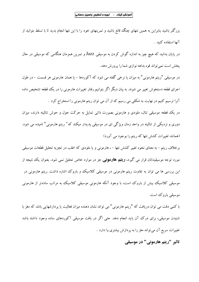بزرگتر باشید بنابراین به همین نتهای چنگ قانع باشید و تمرینهای خود را با این نتها انجام بدید تا با تسلط بتوانید از آنها استفاده كنيد .

در پایان بدانید که هیچ چیز به اندازه گوش کردن به موسیقی Jazz و تمرین همزمان هنگامی که موسیقی در حال يخش است نمي تواند قوه بداهه نوازي شما را پرورش دهد.

در موسیقی "ریتم هارمونی" به میزان یا نرخی گفته می شود که آکوردها – یا همان هارمونی هر قسمت – در طول اجرای قطعه دستخوش تغییر می شوند. به بیان دیگر اگر بتوانیم رفتار تغییرات هارمونی را در یک قطعه تشخیص داده آنرا ترسیم کنیم در نهایت به شکلی می رسیم که از آن می توان ریتم هارمونی را استخراج کرد .

در یک قطعه موسیقی تنال، ملودی و هارمونی بصورت ذاتی تمایل به حرکت حول و حوش تنالیته دارند، میزان دوری و نزدیکی از تنالیته در واحد زمان ویژگی ای در موسیقی پدیدار میکند که" ریتم هارمونی" نامیده می شود. (همانند تغییرات کشش نتها که ریتم را بوجود می آورد)

برخلاف ریتم – به معنای نحوه تغییر کشش نتها – ، هارمونی و یا ملودی که اغلب در تجزیه تحلیل قطعات موسیقی مورد توجه موسیقیدانان قرار می گیرد، **ریتیم هارمونب**ی جز در موارد خاص تحلیل نمبی شود. بعنوان یک نتیجه از این بررسی ها می توان به تفاوت ریتم هارمونی در موسیقی کلاسیک و باروک اشاره داشت. ریتم هارمونی در موسیقی کلاسیک بیش از باروک است، با وجود آنکه هارمونی موسیقی کلاسیک به مراتب سادهتر از هارمونی موسیقی باروک است.

با کمی دقت می توان دریافت که "ریتم هارمونی" می تواند نشان دهنده میزان فعالیت یا پردازشهایی باشد که مغز با شنیدن موسیقی، برای درک آن باید انجام دهد. حتی اگر در بافت موسیقی آکوردهای ساده وجود داشته باشد تغییرات سریع آن می تواند مغز را به پردازش بیشتری وا دارد .

تاثیر "ریتم هارمونی" در موسیقی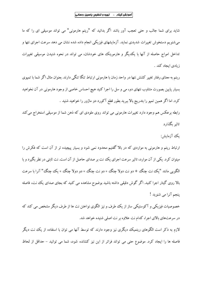شاید برای شما جالب و حتی تعجب آور باشد اگر بدانید که "ریتم هارمونی" می تواند موسیقی ای را که ما می شنویم دستخوش تغییرات شدیدی نماید. آزمایشهای فیزیکی انجام داده شده نشان می دهد سرعت اجرای نتها و تداخل امواج حاصله از آنها با یکدیگر و هارموینک های خودشان، می تواند در نحوه شنیدن موسیقی تغییرات زيادي ايجاد كند .

ریتم به معنای رفتار تغییر کشش نتها در واحد زمان با هارمونی ارتباط تنگا تنگی دارند. بعنوان مثال اگر شما با تمپوی بسیار پایین بصورت متناوب نتهای دو، می و سل را اجرا کنید هیچ احساس خاصی از وجود هارمونی در آن نخواهید کرد. اما اگر همین تمیو را بتدریج بالا ببرید بطور قطع آکورد دو ماژور را خواهید شنید .

رابطه برعکس هم وجود دارد تغییرات هارمونی می تواند روی ملودی ای که ذهن شما از موسیقی استخراج می کند تاثیر یگذارد

#### ىك آزماىش:

ارتباط ریتم و هارمونی به مواردی که در بالا گفتیم محدود نمی شود و بسیار پیچیده تر از آن است که فکرش را میتوان کرد. یکی از آن موارد، تاثیر سرعت اجرای یک نت بر صدای حاصل از آن است. نت ثابتی در نظر بگیرد و با الگو پی مانند "یک نت چنگ + دو نت دولا چنگ + دو نت چنگ + دو دولا چنگ + یک چنگ" آنرا با سرعت بالا روی گیتار اجرا کنید. اگر گوش دقیقی داشته باشید بوضوح مشاهده می کنید که بجای صدای یک نت، فاصله پنجم آنرا مي شنويد !

خصوصیات فیزیکی و آکوستیکی ساز از یک طرف و نیز الگوی نواختن نت ها از طرف دیگر مشخص می کند که در سرعتهای بالای اجرا، کدام نت علاوه بر نت اصلی شنیده خواهد شد.

لازم به ذکر است الگوهای ریتمیک دیگری نیز وجود دارند که توسط آنها می توان با استفاده از یک نت دیگر فاصله ها را ایجاد کرد. موضوع حتی می تواند فراتر از این نیز کشانده شود، شما می توانید – حداقل از لحاظ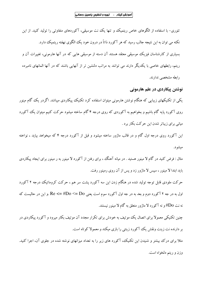تئوری- با استفاده از الگوهای خاص ریتمیک و تنها یک نت موسیقی، آکوردهای متفاوتی را تولید کنید. از این نکته می توان به این نتیجه جالب رسید که هر آکورد ذاتاً در درون خود یک الگوی نهفته ریتمیک دارد. بسیاری از کارشناسان فیزیک موسیقی معتقد هستند آن دسته از موسیقی هایی که در آنها هارمونی، تغییرات آن و ریتم، رابطهای خاصی با یکدیگر دارند می توانند به مراتب دلنشین تر از آنهایی باشند که در آنها المانهای نامبرده رابطه مشخصی ندارند.

نوشتن پیکاردی در علم هارمونی یکمی از تکنیکهای زیبایی که هنگام نوشتن هارمونی میتوان استفاده کرد تکنیک پیکاردی میباشد. اگردر یک گام مینور روی آکورد پایه گام باشیم و بخواهیم به آکوردی که روی درجه ۴ گام ساخته میشود حرکت کنیم میتوان یک آکورد میانی برای زیباتر شدن این حرکت بکار برد .

این آکورد روی درجه اول گام و در قالب ماژور ساخته میشود و قبل از آکورد درجه ۴ که میخواهد بیاید ، نواخته میشو د.

مثال : فرض کنید در گام لا مینور هستید . در میانه آهنگ ، برای رفتن از آکورد لا مینور به ر مینور برای ایجاد پیکاردی باید ابتدا لا مینور ، سپس لا ماژور زد و پس از آن روی رمینور رفت.

حرکت ملودی قابل توجه تولید شده در هنگام زدن این سه آکورد پشت سر هم ، حرکت کروماتیک درجه ۲ آکورد اول به در جه ۲ آکورد دوم و بعد به در جه اول آکورد سوم است یعنی Re <= #Do <= Do. و این در حالیست که نه نت Do#و نه آکورد لا ماژور متعلق به گام لا مینور نیستند.

چنین تکنیکی معمولا برای اتصال یک موتیف به خودش برای تکرار مجدد آن موتیف بکار میرود و آکورد پیکاردی در بر دارنده نت زینت ونقش یک آکورد زینتی را بازی میکند و معمولا کوتاه است.

مثلاً برای درک پیشتر و شنیدن این تکنیک، آکورد های زیر را به تعداد میزانهای نوشته شده در جلوی آن، اجرا کنید. وزن و ريتم دلخواه است.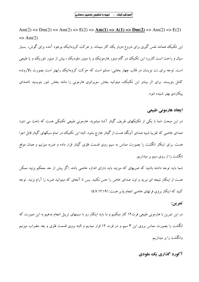Am(2) => Dm(2) => Am(2) => E(2) =>  $\text{Am}(1) = \text{M}(1) = \text{M}(2) = \text{M}(2) = \text{M}(2) = \text{M}(2) = \text{M}(2) = \text{M}(2) = \text{M}(2) = \text{M}(2) = \text{M}(2) = \text{M}(2) = \text{M}(2) = \text{M}(2) = \text{M}(2) = \text{M}(2) = \text{M}(2) = \text{M}(2) = \text{M}(2) = \text{M}(2) = \text{M}(2) = \text{M}(2) = \text{M}(2) = \$  $\Rightarrow$  Am(2) این تکنیک همانند نفس گیری برای شروع دوبار یک کار میماند. و حرکت کروماتیک بوجود آمده برای گوش، بسیار سیال و راحت است.کاربرد این تکنیک در گام مینور هارمونیک و یا مینور ملودیک ،، بیش از مینور تئوریک و یا طبیعی است. توجه برای نت نویسان در قالب چهار بخشی: مسلم است که حرکت کروماتیک رابهتر است بصورت بالارونده کامل بنویسند. برای اثر بیشتر این تکنیک، میتوانید بخش سوپرانوی هارمونی را مانند بخش تنور بنویسید تاصدای يىكاردى بهتر شنيده شود.

#### ایجاد هارمونی طبیعی

در این مبحث شما با یکی از تکنیکهای ظریف گیتار آشنا میشوید. هارمونی طبیعی تکنیکی هست که باعث می شود صدای خاصی که تقریبا شبیه صدای آونگ هست از گیتار خارج بشود. البته این تکنیک در تمام سبکهای گیتار قابل اجرا هست. برای اینکار انگشت را بصورت مماس به سیم روی قسمت فلزی گیتار قرار داده و ضربه میزنیم و همان موقع انگشت را از روی سیم بر میداریم.

شما باید توجه داشته باشید که ضربهای که میزنید باید دارای اندازه خاصی باشد. اگر بیش از حد محکم بزنید ممکن هست از اینکار نتیجه ای نبرید و اون صدای خاص را حس نکنید. پس تا آنجای که میتوانید ضربه را آرام بزنید. توجه کنید که اینکار بروی فرتهای خاصی انجام پذیر هست: (۵.۷.۱۲.۱۹)

#### تمرين:

در این تمرین با هارمونی طبیعی فرت۱۲ کار میکنیم و ما باید اینکار رو با سیمهای تریبل انجام بدهیم به این صورت که انگشت را بصورت مماس بروی این ۳ سیم و در فرت ۱۲ قرار میدیم و البته بروی قسمت فلزی و بعد مضراب میزنیم وانگشت را بر میداریم.

آکورد گذاري يک ملودي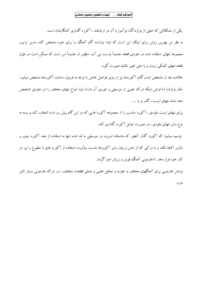یکی از مشکلاتی که خیلی از نوازندگان نوآموز با آن در ارتباطند ، آکورد گذاری آهنگایشان است. به نظر من بهترین روش برای اینکار این است که ابتدا نوازنده گام آهنگ را برای خود مشخص کند، بدین ترتیب مجموعه نتهای استفاده شده در ملودی قطعه حدوداً بدست می آید. منظور از حدوداً این است که ممکن است در طول قطعه نتهای کمکی زینت و یا حتی تغییر تنالیته صورت گیرد.

خلاصه بعد از مشخص شدن گام، آکوردها نیز از روی فواصل خاص با توجه به فرمول ساخت آکوردها مشخص میشود. حال نوازنده (با فرض اینکه درک خوبی از موسیقی و تئوری آن دارد) باید انواع نتهای مختلف را در ملودی تشخیص دهد مانند نتهای ایست ، گذر و با .... .

برای نتهای ایست ملودی ، آکورد مناسب را از مجموعه آکورد هایی که در این گام پیش رو دارد انتخاب کند.و بسته به نوع سایر نتهای ملودی ، در صورت تمایل آکورد گذاری کند.

توصیه میشود که آکورد گذار آنطور که متاسفانه امروزه در موسیقی ما مُد شده تنها به استفاده از چند آکورد مینور و ماژور اکتفا نکند و با درکی که از حس و بیان سایر آکوردها بدست میآورد، استفاده از آکورد های نا مطبوع را نیز در کار خود قرار دهد. تا هارمونی آهنگ قومتر و زیباتر اجرا گردد.

نوشتن هارمونی برای آهنگهای مختلف و تجزیه و تحلیل علمی و عملی قطعات مختلف ، در درک هارمونی بسیار تاثیر دار د.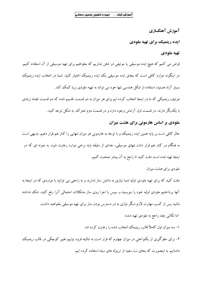آموزش آهنگسازی

ایده ریتمیک برای تهیه ملودی

# تهيه ملودي

فرض می کنیم که هیچ ایده موسیقی یا موتیفی در ذهن نداریم که بخواهیم برای تهیه موسیقی از آن استفاده کنیم. در اینگونه موارد کافی است که بجای ایده موسیقی یک ایده ریتمیک اختیار کنید. شما در انتخاب ایده ریتمیک بسیار آزاد هستید، استفاده از شکل هندسی نتها خود می تواند به تهیه ملودی زیبا کمک کند.

موتیف ریتمیکی که ما در اینجا انتخاب کرده ایم برای هر میزان به دو قسمت تقسیم شده که دو قسمت تضاد زیادی با یکدیگر دارند. در قسمت اول آرامش وجود دارد و در قسمت دوم تحرک به شکل توجه کنید.

# ملودی بر اساس هارمونی برای هشت میزان

حال کافی است بر پایه همین ایده ریتمیک و با توجه به هارمونی هر میزان نتهایی را کنار هم قرار دهیم. بدیهی است به هنگام در کنار هم قرار دادن نتهای موسیقی، جدای از سلیقه باید برخی موارد رعایت شود. به نمونه ای که در اينجا تهيه شده است دقت كنيد تا راجع به آن بيشتر صحبت كنيم.

ملو دی بر ای هشت میز ان

دقت کنید که برای تهیه ملودی اولیه شما نیازی به داشتن ساز ندارید و به راحتی می توانید با مواردی که در اینجا به آنها پرداختیم ملودی اولیه خود را بنویسید و سپس با اجرا روی ساز مشکلات احتمالی آنرا رفع کنید. شک نداشته باشید پس از کسب مهارت لازم دیگر نیازی به در دسترس بودن ساز برای تهیه موسیقی نخواهید داشت.

اما نکاتی چند راجع به ملودی تهیه شده:

۱- سه میزان اول کاملاً قالب ریتیمک انتخاب شده را رعایت کرده اند.

۲- برای جلوگیری از یکنواختی در میزان چهارم که قرار است به تنالیته فرود بیاییم تغییر کوچکی در قالب ریتمیک دادهایم. به اینصورت که بحای نت سفید از تربوله های سیاه استفاده کرده ایم.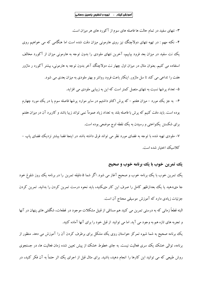۳– نتهای سفید در تمام حالت ها فاصله های سوم از آکورد های هر میزان است.

۴– نکته مهم : در تهیه نتهای دولاچنگ نیز روی هارمونی میزان دقت شده است اما هنگامی که می خواهیم روی یک نت سفید در میزان بعد فرود بیاییم، آخرین نتهای ملودی را بدون توجه به هارمونی میزان از آکورد مخالف استفاده می کنیم. بعنوان مثال در میزان اول چهار نت دولاچنگ آخر بدون توجه به هارمونی، بیشتر آکورد ر ماژور هفت را تداعی می کند تا سل ماژور. اینکار باعث فرود روانتر و بهتر ملودی به میزان بعدی می شود. ۵- تعداد پرشها نسبت به نتهای متصل کمتر است که این به زیبایی ملودی می افزاید.

۶– به جز یک مورد – میزان هفتم – که پرش اکتاو داشتیم در سایر موارد پرشها فاصله سوم یا در یک مورد چهارم بوده است. باید دقت کنیم که پرش با فاصله بلند به تعداد زیاد عمومآ نمی تواند زیبا باشد و کاربرد آن در میزان هفتم برای شکستن یکنواختی و رسیدن به یک نقطه اوج موضعی بوده است.

۷– ملودی تهیه شده با توجه به فضای مورد نظر می تواند فرق داشته باشد در اینجا فضا بیشتر نزدیک فضای پاپ – كلاسىك اختيار شده است.

# یک تمرین خوب با یک برنامه خوب و صحیح

یک تمرین خوب با یک برنامه خوب و صحیح آغاز می شود. اگر شما ۵ دقیقه تمرین را در برنامه یک روز شلوغ خود جا مىدهيد يا يك بعدازظهر كامل را صرف اين كار مىكنيد، بايد نحوه درست تمرين كردن را بدانيد. تمرين كردن جزئیات زیادی دارد که آموزش موسیقی محتاج آن است.

البته قطعاً زمانی که به درستی تمرین می کنید هم مسائلی از قبیل مشکلات موجود در قطعات، شگفتی های پنهان در آنها و تجربه های تازه هم به وجود می آید. اما می توانید از قبل خود را برای آنها آماده کنید.

یک برنامه صحیح به شما شیوه تمرکز حواستان روی یک مشکل برای برطرف کردن آن را آموزش می دهد. منظور از برنامه، توالی خشک یک سری فعالیت نیست. به جای خطوط خشک از پیش تعیین شده زمان فعالیت ها، در جستجوی روش طبیعی که می توانید این کارها را انجام دهید، باشید. برای مثال قبل از اجرای یک اثر حتماً به آن فکر کنید، در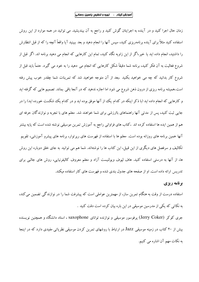زمان حال اجرا کنید و در آینده به اجرایتان گوش کنید و راجع به آن بیندیشید. می توانید در همه موارد از این روش استفاده کنید مثلاً برای آینده برنامهریزی کنید، سپس آنها را انجام دهید و بعد ببینید آیا واقعاً آنچه را که از قبل انتظارش را داشتید، انجام داده اید یا خیر اگر از این زاویه نگاه کنید، تمام این کارهایی که انجام می دهید برنامه اند. اگر قبل از شروع فعالیت به آن فکر کنید، برنامه شما دقیقاً شکل کارهایی که انجام می دهید را به خود می گیرد. حتماً باید قبل از شروع کار بدانید که چه می خواهید بکنید .بعد از آن متوجه خواهید شد که تمرینات شما چقدر خوب پیش رفته است.همیشه برنامه ریزی از درون ذهن شروع می شود اما اجازه ندهید که در آنجا باقی بماند. تصمیم هایی که گرفته اید و کارهایی که انجام داده اید (با ذکر اینکه در کدام یک از آنها موفق بوده اید و در کدام یک شکست خورده اید) را در جایی ثبت کنید، پس از مدتی آنها راهنماهای باارزشی برای شما خواهند شد. معلم های با تجربه و نوازندگان حرفه ای هم از همین ایده ها استفاده کرده اند .کتاب های فراوانی راجع به آموزش تمرین موسیقی نوشته شده است که پایه بیشتر آنها همین برنامه های روزانه بوده است. معلم ها با استفاده از فهرست های رپرتوار، برنامه های پیشرو آموزشی، تقویم تکالیف و سرفصل های دیگری از این قبیل، این کتاب ها را نوشتهاند. شما هم می توانید به جای خلق دوباره این روش ها، از آنها به درستی استفاده کنید. هاف لیوف ویولنیست آزاد و معلم معروف کالیفرنیایی، روش های جالبی برای تدریس ارائه داده است. او از صفحه های جدول بندی شده و فهرست های کار استفاده میکند.

#### برنامه ریزی

استفاده درست از وقت به هنگام تمرین ساز، از مهمترین عواملی است که پیشرفت شما را در نوازندگی تضمین می کند، به نکاتی که یکی از مدرسین موسیقی در این باره بیان کرده است دقت کنید .

جری کوکر (Jerry Coker) یرفوسور موسیقی و نوازنده توانای saxophone ، استاد دانشگاه و همچنین نویسنده بیش از ۲۰ کتاب در زمینه موسیقی Jazz در ارتباط با روشهای تمرین کردن موسیقی نظریاتی مفیدی دارد که در اینجا به نکات مهم آن اشاره می کنیم.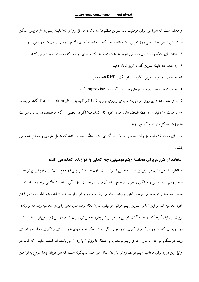او معتقد است که هنرآموز برای موفقیت باید تمرین منظم داشته باشد، حداقل روزی ۷۵ دقیقه. بسیاری از ما بیش ممکن است بیش از این مقدار طی روز تمرین داشته باشیم، اما نکته اینجاست که بهره لازم از زمان صرف شده را نمی بریم . ۱– ابتدا برای اینکه وارد دنیای موسیقی شوید به مدت ۵ دقیقه یک ملودی آرام را که دوست دارید تمرین کنید . ۲– به مدت ۱۵ دقیقه تمرین گام و آرپژ انجام دهید. ۳- به مدت ۱۰ دقیقه تمرین الگوهای ملودیک یا Riff انجام دهید. ۴- به مدت ۵ دقیقه روی ملودی های جدید با آکوردها Improvise کنید. ۵- برای مدت ۱۵ دقیق روی در آوردن ملودی از روی نوار یا CD کار کنید به اینکار Transcription گفته می شود. ۶– به مدت ۱۰ دقیقه روی نقطه ضعف های جدی خود کار کنید. مثلآ اگر در بعضی از گام ها ضعف دارید یا با سرعت های ز یاد مشکل دار بد به آنها بیرداز بد .

۷– برای مدت ۱۵ دقیقه نیز وقت خود را صرف یاد گیری یک آهنگ جدید بکنید که شامل ملودی و تحلیل هارمونی باشد.

#### استفاده از مترونم برای محاسبه ریتم موسیقی، چه کمکی به نوازنده کمک می کند؟

همانطور که می دانیم موسیقی بر دو پایه اصلی استوار است، اول صدا( زیروبمی) و دوم زمان( ریتم)، بنابراین توجه به عنصر ریتم در موسیقی و فراگیری اجرای صحیح انواع آن برای هنرجویان نوازندگی از اهمیت بالایی برخوردار است. اساس محاسبه ریتم موسیقی توسط ذهن نوازنده انجام می پذیرد و در واقع نوازنده باید بتواند ریتم قطعات را در ذهن خود محاسبه کند بر این اساس تمرین ریتم خوانبی موسیقی، بدون بکار بردن ساز، ذهن را برای محاسبه ریتم در نوازنده تربیت مینماید. آنچه که در مقاله " نت خوانی و اجرا" پیشتر بطور مفصل تری بیان شده، در این زمینه می تواند مفید باشد. در دوره ای که هنرجو سرگرم فراگیری دوره نوازندگی است، یکی از راههای خوب برای فراگیری محاسبه و اجرای ریتم در هنگام نواختن با ساز، اجرای ریتم توسط پا یا اصطلاحا روش" پا زدن" می باشد. اما اشتباه شایعی که غالبا در اوایل این دوره برای محاسبه ریتم توسط روش پا زدن اتفاق می افتد، بدینگونه است که هنرجویان ابتدا شروع به نواختن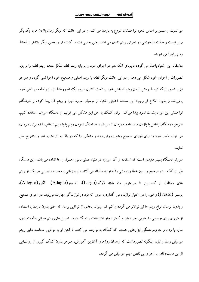می نمایند و سپس بر اساس نحوه نواختنشان شروع به پازدن می کنند و در این حالت که دیگر زمان پازدن ها با یکدیگر برابر نیست و حالت دلبخواهی در اجرای ریتم اتفاق می افتد، یعنی بعضی نت ها کوتاه تر و بعضی دیگر بلندتر از لحاظ زماني اجرا مي شوند.

متاسفانه این اشتباه باعث می گردد تا بجای آنکه هنرجو اجرای خود را بر پایه ریتم قطعه شکل دهد، ریتم قطعه را بر پایه تصورات و اجرای خود شکل می دهد و در این حالت دیگر قطعه با ریتم اصلی و صحیح خود اجرا نمی گردد و هنرجو نیز با تصور اینکه توسط روش پازدن ریتم نواختن خود را تحت کنترل دارد، یک تصورغلط از ریتم قطعه در ذهن خود پرورانده و بدون اطلاع از وجود این مسئله، ذهنیتی اشتباه از موسیقی مورد اجرا و ریتم آن پیدا کرده و درهنگام نواختنش این مورد بشدت نمود پیدا می کند. برای کمک به حل این مشکل می توانیم از دستگاه مترونم استفاده کنیم. هنرجو درهنگام نواختن با پازدن و استفاده همزمان از مترونم و هماهنگ نمودن ریتم پا با ریتم انتخاب شده برای مترونم، می تواند ذهن خود را برای اجرای صحیح ریتم پرورش دهد و مشکلی را که در بالا به آن اشاره شد را بتدریج حل نمايد.

مترونم دستگاه بسیار مفیدی است که استفاده از آن امروزه در دنیا، عملی بسیار معمول و جا افتاده می باشد. این دستگاه غیر از آنکه ریتم صحیح و بدون خطا و نوسانی را به نوازنده ارائه می کند، دایره زمانی و محدوده ضربی هر یک از ریتم های مختلف از کندترین تا سریعترین را، مانند لارگو(Largo)، آداجیو(Adagio)، آلگرو(Allegro). پرستو (Presto) و غیره را در اختیار نوازنده می گذارد.به مرور که فرد در نوازندگی مهارت می یابد، در اجرای صحیح و بدون نوسان انواع ریتم ها نیز تواناتر می گردد و کم کم میتواند بحدی از توانایی برسد که حتی بدون پازدن یا استفاده از مترونم ریتم موسیقی را بخوبی اجرا نماید و کمتر دچار اشتباهات ریتمیک شود. تمرین های ریتم خوانی قطعات بدون ساز، یا زدن و مترونم همگی ابزارهایی هستند که کمک به نوازنده می کنند تا ذهن او به توانایی محاسبه دقیق ریتم موسیقی رسد و نباید اینگونه تصورداشت که ازهمان روزهای آغازین آموزش، هنرجو بدون کمک گیری از روشهایی از این دست، قادر به اجرای بی نقص ریتم موسیقی می گردد.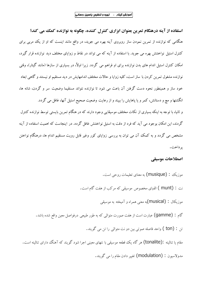استفاده از آینه درهنگام تمرین بعنوان ابزاری کنترل کننده، چگونه به نوازنده کمک می کند؟ هنگامی که نوازنده از تمرین نمودن ساز روبروی آینه بهره می جوید، در واقع مانند اینست که او از یک مربی برای کنترل استیل نواختنش بهره می جوید. با استفاده از آینه که می تواند در نقاط و زوایای مختلف دید نوازنده قرار گیرد، امکان کنترل استیل اندام های بدن نوازنده برای او فراهم می گردد. زیرا اولاً، در بسیاری از سازها (مانند گیتار)، وقتی نوازنده مشغول تمرين كردن با ساز است، كليه زوايا و حالات مختلف اندامهايش در ديد مستقيم او نيستند و گاهي ابعاد خود ساز و همینطور نحوه دست گرفتن آن باعث می شود تا نوازنده نتواند مستقیما وضعیت سر و گردن، شانه ها، انگشتها و مچ و دستانش، کمر و یا پاهایش را ببیند و از رعایت وضعیت صحیح استیل آنها، غافل می گردد. و ثانیا، با توجه به اینکه بسیاری از نکات مختلف موسیقایی وجود دارند که در هنگام تمرین بایستی توسط نوازنده کنترل گردند، این امکان بوجود می آید که فرد از دقت به استبل نواختنش غافل گردد. در اینجاست که اهمیت استفاده از آینه مشخص می گردد و به کمک آن می توان به بررسی زوایای کور وغیر قابل رویت مستقیم اندام ها، درهنگام نواختن ير داخت.

# اصطلاحات موسيقي

موزیک : (musique) به معنای تعلیمات روحی است. نت : (munt ) الفباي مخصوص موسيقى كه مركب از هفت گام است. موزیکال : (musical)په معنی همراه و آمیخته به موسیقی گام : (gamme) عبارت است از هفت صورت متوالی که به طور طبیعی درفواصل معین واقع شده باشد. تن : (ton ) واحد فاصله صوتي بين دو نت متوالي را تن مي گويند. مقام یا تنالیته :(tonalite) هر گاه یک قطعه موسیقی با نتهای معینی اجرا شود گویند که آهنگ دارای تنالیته است. مدولاسيون : (modulation) تغيير دادن مقام را مي گويند.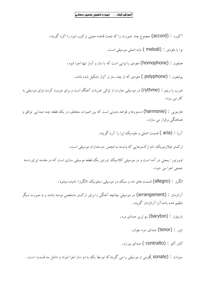آکورد : (accord) مجموع چند صورت را که تحت قاعده معینی ترکیب شود را اکرد گویند.

نوا یا ملودی : (melodi ) مایه اصلی موسیقی است.

همفون : (homophone) ملودی یا نوایی است که با ساز و آواز تنها اجرا شود.

پولیفون : (polyphone ) ملودی که از چند ساز و آواز تشکیل شده باشد.

ضرب یا ریتم : (rythme) در موسیقی عبارت از توالی ضربات آهنگ است و برای موزون کردن نوای موسیقی به کار می رود.

هارموني : (harmonie) دستورها و قواعد مدوني است كه بين اصوات مختلف در يك قطعه چند صدايي توافق و هماهنگی برقرار می سازد.

آريا : (aria ) قسمت اصلي و ملوديك ايرا را آريا گويند.

ارکستر فیلارمونیک، نام ارکسترهایی که وابسته به انجمن دوستداران موسیقی است.

اوورتور : بمعنی در آمد است و در موسیقی کلاسیک اورتور یک قطعه موسیقی سازی است که در مقدمه ایرای دسته جمعي اجرا مي شود.

الكرو : (allegro) قسمت هاي تند و سبك در موسيقي سنفونيك (الكرو) ناميده ميشود.

آرانژمان : (arrangement) در موسیقی چنانچه آهنگی را برای ارکستر مشخصی نوشته باشند و به صورت دیگر تنظیم شده باشدآنرا آرانژمان گویند.

- باريتون : (baryton) بم ترين صداي مرد.
	- تنور : (tenor) صدای مرد جوان.
	- كنتر آلتو : (contralto ) صداي يم زن.

سونات : (sonate )فرمي از موسيقي را مي گويندكه توسط يك ييا دو ساز اجرا شوند و شامل سه قسمت است.